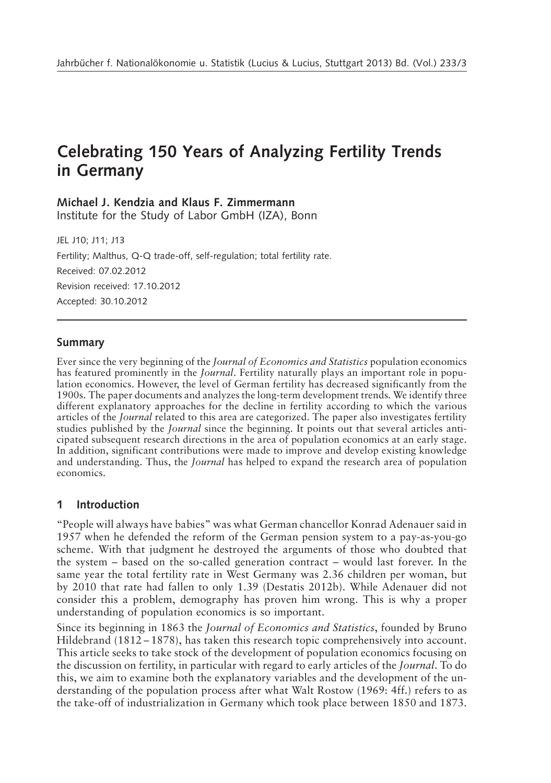# Celebrating 150 Years of Analyzing Fertility Trends in Germany

Michael J. Kendzia and Klaus F. Zimmermann Institute for the Study of Labor GmbH (IZA), Bonn

JEL J10; J11; J13 Fertility; Malthus, Q-Q trade-off, self-regulation; total fertility rate. Received: 07.02.2012 Revision received: 17.10.2012 Accepted: 30.10.2012

#### Summary

Ever since the very beginning of the Journal of Economics and Statistics population economics has featured prominently in the *Journal*. Fertility naturally plays an important role in population economics. However, the level of German fertility has decreased significantly from the 1900s. The paper documents and analyzes the long-term development trends. We identify three different explanatory approaches for the decline in fertility according to which the various articles of the *Journal* related to this area are categorized. The paper also investigates fertility studies published by the Journal since the beginning. It points out that several articles anticipated subsequent research directions in the area of population economics at an early stage. In addition, significant contributions were made to improve and develop existing knowledge and understanding. Thus, the *Journal* has helped to expand the research area of population economics.

## 1 Introduction

"People will always have babies" was what German chancellor Konrad Adenauer said in 1957 when he defended the reform of the German pension system to a pay-as-you-go scheme. With that judgment he destroyed the arguments of those who doubted that the system – based on the so-called generation contract – would last forever. In the same year the total fertility rate in West Germany was 2.36 children per woman, but by 2010 that rate had fallen to only 1.39 (Destatis 2012b). While Adenauer did not consider this a problem, demography has proven him wrong. This is why a proper understanding of population economics is so important.

Since its beginning in 1863 the Journal of Economics and Statistics, founded by Bruno Hildebrand (1812 – 1878), has taken this research topic comprehensively into account. This article seeks to take stock of the development of population economics focusing on the discussion on fertility, in particular with regard to early articles of the *Journal*. To do this, we aim to examine both the explanatory variables and the development of the understanding of the population process after what Walt Rostow (1969: 4ff.) refers to as the take-off of industrialization in Germany which took place between 1850 and 1873.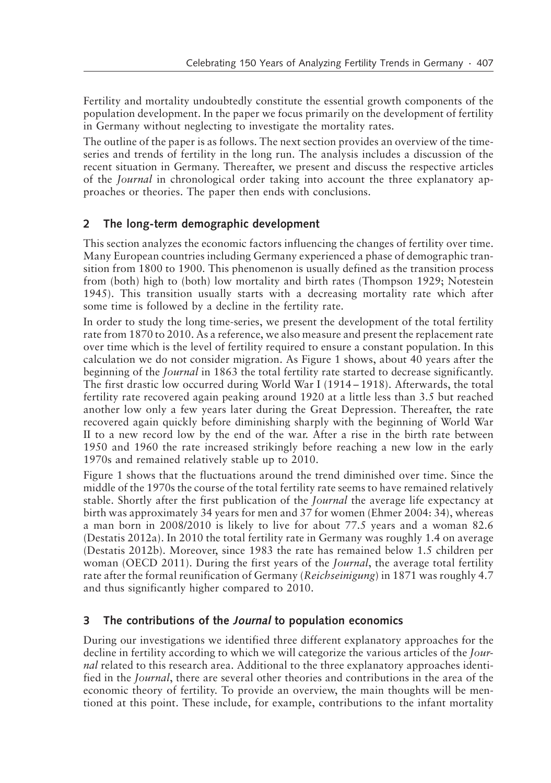Fertility and mortality undoubtedly constitute the essential growth components of the population development. In the paper we focus primarily on the development of fertility in Germany without neglecting to investigate the mortality rates.

The outline of the paper is as follows. The next section provides an overview of the timeseries and trends of fertility in the long run. The analysis includes a discussion of the recent situation in Germany. Thereafter, we present and discuss the respective articles of the Journal in chronological order taking into account the three explanatory approaches or theories. The paper then ends with conclusions.

## 2 The long-term demographic development

This section analyzes the economic factors influencing the changes of fertility over time. Many European countries including Germany experienced a phase of demographic transition from 1800 to 1900. This phenomenon is usually defined as the transition process from (both) high to (both) low mortality and birth rates (Thompson 1929; Notestein 1945). This transition usually starts with a decreasing mortality rate which after some time is followed by a decline in the fertility rate.

In order to study the long time-series, we present the development of the total fertility rate from 1870 to 2010. As a reference, we also measure and present the replacement rate over time which is the level of fertility required to ensure a constant population. In this calculation we do not consider migration. As Figure 1 shows, about 40 years after the beginning of the Journal in 1863 the total fertility rate started to decrease significantly. The first drastic low occurred during World War I (1914 – 1918). Afterwards, the total fertility rate recovered again peaking around 1920 at a little less than 3.5 but reached another low only a few years later during the Great Depression. Thereafter, the rate recovered again quickly before diminishing sharply with the beginning of World War II to a new record low by the end of the war. After a rise in the birth rate between 1950 and 1960 the rate increased strikingly before reaching a new low in the early 1970s and remained relatively stable up to 2010.

Figure 1 shows that the fluctuations around the trend diminished over time. Since the middle of the 1970s the course of the total fertility rate seems to have remained relatively stable. Shortly after the first publication of the *Journal* the average life expectancy at birth was approximately 34 years for men and 37 for women (Ehmer 2004: 34), whereas a man born in 2008/2010 is likely to live for about 77.5 years and a woman 82.6 (Destatis 2012a). In 2010 the total fertility rate in Germany was roughly 1.4 on average (Destatis 2012b). Moreover, since 1983 the rate has remained below 1.5 children per woman (OECD 2011). During the first years of the *Journal*, the average total fertility rate after the formal reunification of Germany (Reichseinigung) in 1871 was roughly 4.7 and thus significantly higher compared to 2010.

## 3 The contributions of the Journal to population economics

During our investigations we identified three different explanatory approaches for the decline in fertility according to which we will categorize the various articles of the Journal related to this research area. Additional to the three explanatory approaches identified in the Journal, there are several other theories and contributions in the area of the economic theory of fertility. To provide an overview, the main thoughts will be mentioned at this point. These include, for example, contributions to the infant mortality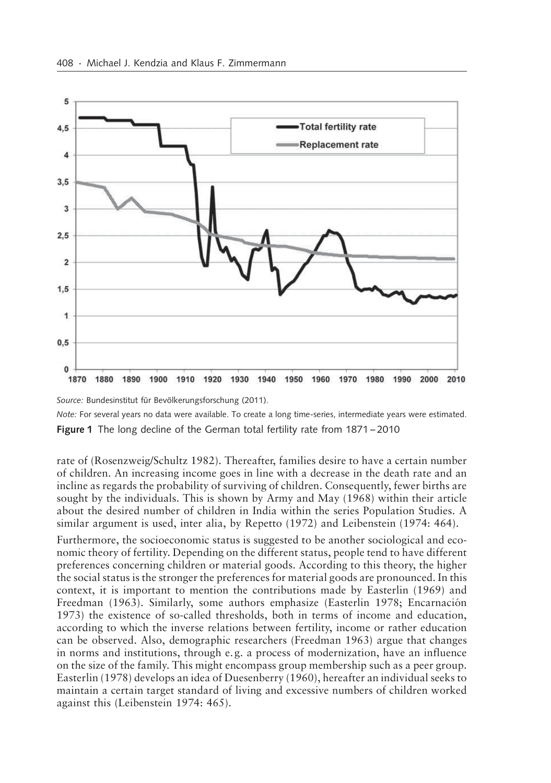



rate of (Rosenzweig/Schultz 1982). Thereafter, families desire to have a certain number of children. An increasing income goes in line with a decrease in the death rate and an incline as regards the probability of surviving of children. Consequently, fewer births are sought by the individuals. This is shown by Army and May (1968) within their article about the desired number of children in India within the series Population Studies. A similar argument is used, inter alia, by Repetto (1972) and Leibenstein (1974: 464).

Furthermore, the socioeconomic status is suggested to be another sociological and economic theory of fertility. Depending on the different status, people tend to have different preferences concerning children or material goods. According to this theory, the higher the social status is the stronger the preferences for material goods are pronounced. In this context, it is important to mention the contributions made by Easterlin (1969) and Freedman (1963). Similarly, some authors emphasize (Easterlin 1978; Encarnación 1973) the existence of so-called thresholds, both in terms of income and education, according to which the inverse relations between fertility, income or rather education can be observed. Also, demographic researchers (Freedman 1963) argue that changes in norms and institutions, through e. g. a process of modernization, have an influence on the size of the family. This might encompass group membership such as a peer group. Easterlin (1978) develops an idea of Duesenberry (1960), hereafter an individual seeks to maintain a certain target standard of living and excessive numbers of children worked against this (Leibenstein 1974: 465).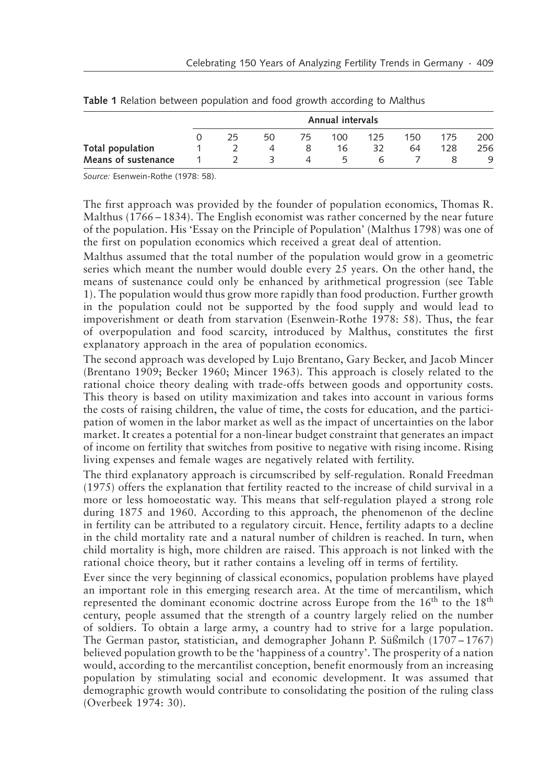|                     | Annual intervals |    |    |     |            |     |     |     |     |  |
|---------------------|------------------|----|----|-----|------------|-----|-----|-----|-----|--|
|                     |                  | 25 | 50 | 75. | 100        | 125 | 150 | 175 | 200 |  |
| Total population    |                  |    |    |     | 16         | 32  | 64  | 128 | 256 |  |
| Means of sustenance |                  |    |    |     | $\sqrt{2}$ |     |     |     | 9   |  |

Table 1 Relation between population and food growth according to Malthus

Source: Esenwein-Rothe (1978: 58).

The first approach was provided by the founder of population economics, Thomas R. Malthus (1766 – 1834). The English economist was rather concerned by the near future of the population. His 'Essay on the Principle of Population' (Malthus 1798) was one of the first on population economics which received a great deal of attention.

Malthus assumed that the total number of the population would grow in a geometric series which meant the number would double every 25 years. On the other hand, the means of sustenance could only be enhanced by arithmetical progression (see Table 1). The population would thus grow more rapidly than food production. Further growth in the population could not be supported by the food supply and would lead to impoverishment or death from starvation (Esenwein-Rothe 1978: 58). Thus, the fear of overpopulation and food scarcity, introduced by Malthus, constitutes the first explanatory approach in the area of population economics.

The second approach was developed by Lujo Brentano, Gary Becker, and Jacob Mincer (Brentano 1909; Becker 1960; Mincer 1963). This approach is closely related to the rational choice theory dealing with trade-offs between goods and opportunity costs. This theory is based on utility maximization and takes into account in various forms the costs of raising children, the value of time, the costs for education, and the participation of women in the labor market as well as the impact of uncertainties on the labor market. It creates a potential for a non-linear budget constraint that generates an impact of income on fertility that switches from positive to negative with rising income. Rising living expenses and female wages are negatively related with fertility.

The third explanatory approach is circumscribed by self-regulation. Ronald Freedman (1975) offers the explanation that fertility reacted to the increase of child survival in a more or less homoeostatic way. This means that self-regulation played a strong role during 1875 and 1960. According to this approach, the phenomenon of the decline in fertility can be attributed to a regulatory circuit. Hence, fertility adapts to a decline in the child mortality rate and a natural number of children is reached. In turn, when child mortality is high, more children are raised. This approach is not linked with the rational choice theory, but it rather contains a leveling off in terms of fertility.

Ever since the very beginning of classical economics, population problems have played an important role in this emerging research area. At the time of mercantilism, which represented the dominant economic doctrine across Europe from the 16<sup>th</sup> to the 18<sup>th</sup> century, people assumed that the strength of a country largely relied on the number of soldiers. To obtain a large army, a country had to strive for a large population. The German pastor, statistician, and demographer Johann P. Süßmilch (1707–1767) believed population growth to be the 'happiness of a country'. The prosperity of a nation would, according to the mercantilist conception, benefit enormously from an increasing population by stimulating social and economic development. It was assumed that demographic growth would contribute to consolidating the position of the ruling class (Overbeek 1974: 30).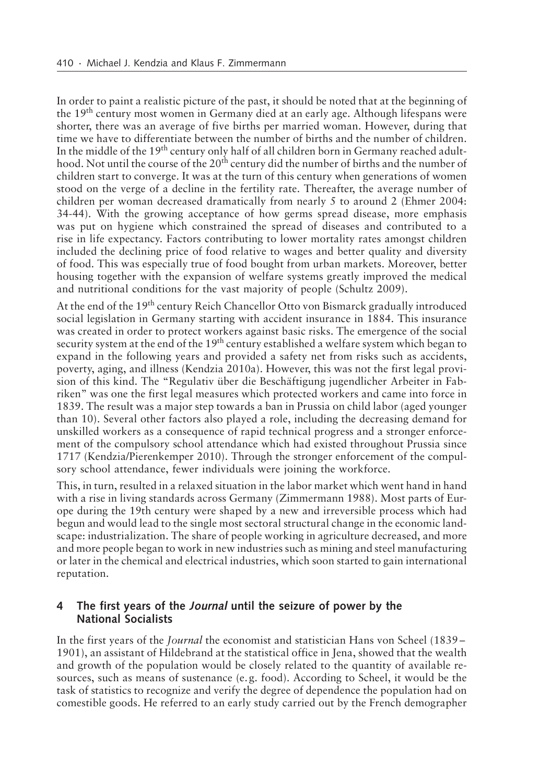In order to paint a realistic picture of the past, it should be noted that at the beginning of the 19th century most women in Germany died at an early age. Although lifespans were shorter, there was an average of five births per married woman. However, during that time we have to differentiate between the number of births and the number of children. In the middle of the 19<sup>th</sup> century only half of all children born in Germany reached adulthood. Not until the course of the 20<sup>th</sup> century did the number of births and the number of children start to converge. It was at the turn of this century when generations of women stood on the verge of a decline in the fertility rate. Thereafter, the average number of children per woman decreased dramatically from nearly 5 to around 2 (Ehmer 2004: 34-44). With the growing acceptance of how germs spread disease, more emphasis was put on hygiene which constrained the spread of diseases and contributed to a rise in life expectancy. Factors contributing to lower mortality rates amongst children included the declining price of food relative to wages and better quality and diversity of food. This was especially true of food bought from urban markets. Moreover, better housing together with the expansion of welfare systems greatly improved the medical and nutritional conditions for the vast majority of people (Schultz 2009).

At the end of the 19<sup>th</sup> century Reich Chancellor Otto von Bismarck gradually introduced social legislation in Germany starting with accident insurance in 1884. This insurance was created in order to protect workers against basic risks. The emergence of the social security system at the end of the 19<sup>th</sup> century established a welfare system which began to expand in the following years and provided a safety net from risks such as accidents, poverty, aging, and illness (Kendzia 2010a). However, this was not the first legal provision of this kind. The "Regulativ über die Beschäftigung jugendlicher Arbeiter in Fabriken" was one the first legal measures which protected workers and came into force in 1839. The result was a major step towards a ban in Prussia on child labor (aged younger than 10). Several other factors also played a role, including the decreasing demand for unskilled workers as a consequence of rapid technical progress and a stronger enforcement of the compulsory school attendance which had existed throughout Prussia since 1717 (Kendzia/Pierenkemper 2010). Through the stronger enforcement of the compulsory school attendance, fewer individuals were joining the workforce.

This, in turn, resulted in a relaxed situation in the labor market which went hand in hand with a rise in living standards across Germany (Zimmermann 1988). Most parts of Europe during the 19th century were shaped by a new and irreversible process which had begun and would lead to the single most sectoral structural change in the economic landscape: industrialization. The share of people working in agriculture decreased, and more and more people began to work in new industries such as mining and steel manufacturing or later in the chemical and electrical industries, which soon started to gain international reputation.

## 4 The first years of the Journal until the seizure of power by the National Socialists

In the first years of the Journal the economist and statistician Hans von Scheel (1839 – 1901), an assistant of Hildebrand at the statistical office in Jena, showed that the wealth and growth of the population would be closely related to the quantity of available resources, such as means of sustenance (e. g. food). According to Scheel, it would be the task of statistics to recognize and verify the degree of dependence the population had on comestible goods. He referred to an early study carried out by the French demographer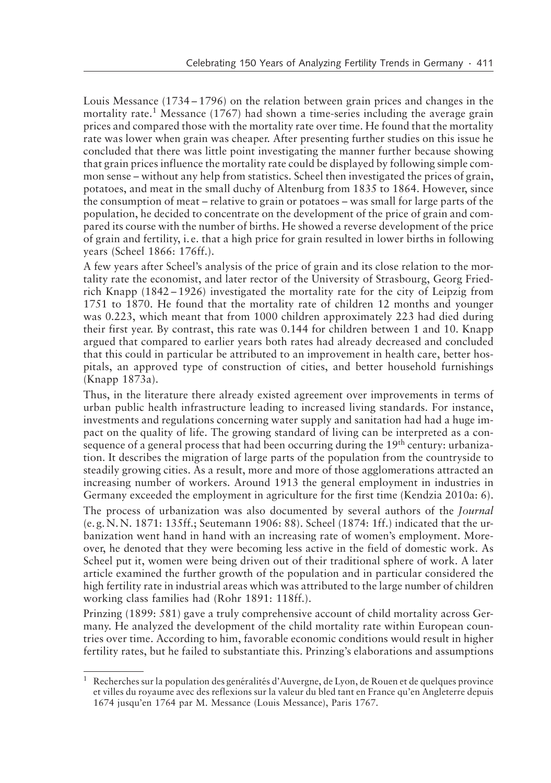Louis Messance (1734 – 1796) on the relation between grain prices and changes in the mortality rate.<sup>1</sup> Messance (1767) had shown a time-series including the average grain prices and compared those with the mortality rate over time. He found that the mortality rate was lower when grain was cheaper. After presenting further studies on this issue he concluded that there was little point investigating the manner further because showing that grain prices influence the mortality rate could be displayed by following simple common sense – without any help from statistics. Scheel then investigated the prices of grain, potatoes, and meat in the small duchy of Altenburg from 1835 to 1864. However, since the consumption of meat – relative to grain or potatoes – was small for large parts of the population, he decided to concentrate on the development of the price of grain and compared its course with the number of births. He showed a reverse development of the price of grain and fertility, i. e. that a high price for grain resulted in lower births in following years (Scheel 1866: 176ff.).

A few years after Scheel's analysis of the price of grain and its close relation to the mortality rate the economist, and later rector of the University of Strasbourg, Georg Friedrich Knapp (1842 – 1926) investigated the mortality rate for the city of Leipzig from 1751 to 1870. He found that the mortality rate of children 12 months and younger was 0.223, which meant that from 1000 children approximately 223 had died during their first year. By contrast, this rate was 0.144 for children between 1 and 10. Knapp argued that compared to earlier years both rates had already decreased and concluded that this could in particular be attributed to an improvement in health care, better hospitals, an approved type of construction of cities, and better household furnishings (Knapp 1873a).

Thus, in the literature there already existed agreement over improvements in terms of urban public health infrastructure leading to increased living standards. For instance, investments and regulations concerning water supply and sanitation had had a huge impact on the quality of life. The growing standard of living can be interpreted as a consequence of a general process that had been occurring during the  $19<sup>th</sup>$  century: urbanization. It describes the migration of large parts of the population from the countryside to steadily growing cities. As a result, more and more of those agglomerations attracted an increasing number of workers. Around 1913 the general employment in industries in Germany exceeded the employment in agriculture for the first time (Kendzia 2010a: 6). The process of urbanization was also documented by several authors of the *Journal* (e. g.N.N. 1871: 135ff.; Seutemann 1906: 88). Scheel (1874: 1ff.) indicated that the urbanization went hand in hand with an increasing rate of women's employment. Moreover, he denoted that they were becoming less active in the field of domestic work. As Scheel put it, women were being driven out of their traditional sphere of work. A later article examined the further growth of the population and in particular considered the high fertility rate in industrial areas which was attributed to the large number of children working class families had (Rohr 1891: 118ff.).

Prinzing (1899: 581) gave a truly comprehensive account of child mortality across Germany. He analyzed the development of the child mortality rate within European countries over time. According to him, favorable economic conditions would result in higher fertility rates, but he failed to substantiate this. Prinzing's elaborations and assumptions

Recherches sur la population des genéralités d'Auvergne, de Lyon, de Rouen et de quelques province et villes du royaume avec des reflexions sur la valeur du bled tant en France qu'en Angleterre depuis 1674 jusqu'en 1764 par M. Messance (Louis Messance), Paris 1767.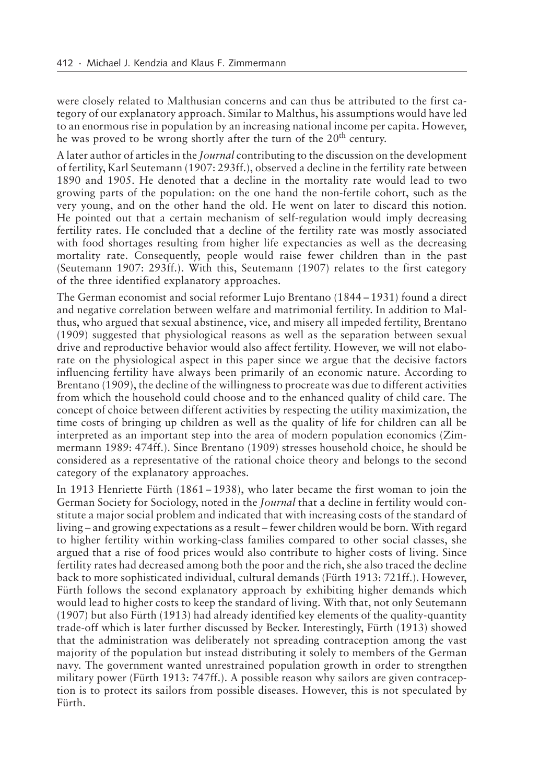were closely related to Malthusian concerns and can thus be attributed to the first category of our explanatory approach. Similar to Malthus, his assumptions would have led to an enormous rise in population by an increasing national income per capita. However, he was proved to be wrong shortly after the turn of the 20<sup>th</sup> century.

A later author of articles in the Journal contributing to the discussion on the development of fertility, Karl Seutemann (1907: 293ff.), observed a decline in the fertility rate between 1890 and 1905. He denoted that a decline in the mortality rate would lead to two growing parts of the population: on the one hand the non-fertile cohort, such as the very young, and on the other hand the old. He went on later to discard this notion. He pointed out that a certain mechanism of self-regulation would imply decreasing fertility rates. He concluded that a decline of the fertility rate was mostly associated with food shortages resulting from higher life expectancies as well as the decreasing mortality rate. Consequently, people would raise fewer children than in the past (Seutemann 1907: 293ff.). With this, Seutemann (1907) relates to the first category of the three identified explanatory approaches.

The German economist and social reformer Lujo Brentano (1844 – 1931) found a direct and negative correlation between welfare and matrimonial fertility. In addition to Malthus, who argued that sexual abstinence, vice, and misery all impeded fertility, Brentano (1909) suggested that physiological reasons as well as the separation between sexual drive and reproductive behavior would also affect fertility. However, we will not elaborate on the physiological aspect in this paper since we argue that the decisive factors influencing fertility have always been primarily of an economic nature. According to Brentano (1909), the decline of the willingness to procreate was due to different activities from which the household could choose and to the enhanced quality of child care. The concept of choice between different activities by respecting the utility maximization, the time costs of bringing up children as well as the quality of life for children can all be interpreted as an important step into the area of modern population economics (Zimmermann 1989: 474ff.). Since Brentano (1909) stresses household choice, he should be considered as a representative of the rational choice theory and belongs to the second category of the explanatory approaches.

In 1913 Henriette Fürth  $(1861 - 1938)$ , who later became the first woman to join the German Society for Sociology, noted in the *Journal* that a decline in fertility would constitute a major social problem and indicated that with increasing costs of the standard of living – and growing expectations as a result – fewer children would be born. With regard to higher fertility within working-class families compared to other social classes, she argued that a rise of food prices would also contribute to higher costs of living. Since fertility rates had decreased among both the poor and the rich, she also traced the decline back to more sophisticated individual, cultural demands (Fürth 1913: 721ff.). However, Fürth follows the second explanatory approach by exhibiting higher demands which would lead to higher costs to keep the standard of living. With that, not only Seutemann  $(1907)$  but also Fürth  $(1913)$  had already identified key elements of the quality-quantity trade-off which is later further discussed by Becker. Interestingly, Fürth (1913) showed that the administration was deliberately not spreading contraception among the vast majority of the population but instead distributing it solely to members of the German navy. The government wanted unrestrained population growth in order to strengthen military power (Fürth 1913: 747ff.). A possible reason why sailors are given contraception is to protect its sailors from possible diseases. However, this is not speculated by Fürth.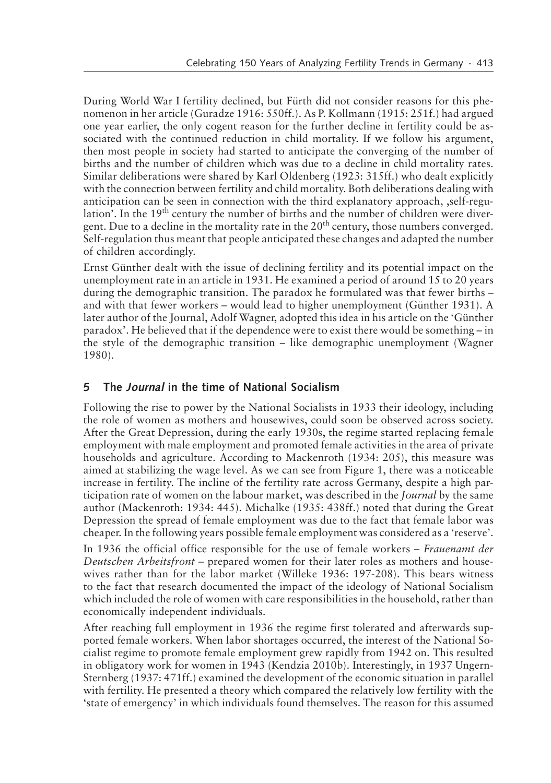During World War I fertility declined, but Fürth did not consider reasons for this phenomenon in her article (Guradze 1916: 550ff.). As P. Kollmann (1915: 251f.) had argued one year earlier, the only cogent reason for the further decline in fertility could be associated with the continued reduction in child mortality. If we follow his argument, then most people in society had started to anticipate the converging of the number of births and the number of children which was due to a decline in child mortality rates. Similar deliberations were shared by Karl Oldenberg (1923: 315ff.) who dealt explicitly with the connection between fertility and child mortality. Both deliberations dealing with anticipation can be seen in connection with the third explanatory approach, ,self-regulation'. In the  $19<sup>th</sup>$  century the number of births and the number of children were divergent. Due to a decline in the mortality rate in the 20<sup>th</sup> century, those numbers converged. Self-regulation thus meant that people anticipated these changes and adapted the number of children accordingly.

Ernst Günther dealt with the issue of declining fertility and its potential impact on the unemployment rate in an article in 1931. He examined a period of around 15 to 20 years during the demographic transition. The paradox he formulated was that fewer births – and with that fewer workers – would lead to higher unemployment (Günther 1931). A later author of the Journal, Adolf Wagner, adopted this idea in his article on the 'Günther paradox'. He believed that if the dependence were to exist there would be something – in the style of the demographic transition – like demographic unemployment (Wagner 1980).

## 5 The Journal in the time of National Socialism

Following the rise to power by the National Socialists in 1933 their ideology, including the role of women as mothers and housewives, could soon be observed across society. After the Great Depression, during the early 1930s, the regime started replacing female employment with male employment and promoted female activities in the area of private households and agriculture. According to Mackenroth (1934: 205), this measure was aimed at stabilizing the wage level. As we can see from Figure 1, there was a noticeable increase in fertility. The incline of the fertility rate across Germany, despite a high participation rate of women on the labour market, was described in the *Journal* by the same author (Mackenroth: 1934: 445). Michalke (1935: 438ff.) noted that during the Great Depression the spread of female employment was due to the fact that female labor was cheaper. In the following years possible female employment was considered as a 'reserve'.

In 1936 the official office responsible for the use of female workers – Frauenamt der Deutschen Arbeitsfront – prepared women for their later roles as mothers and housewives rather than for the labor market (Willeke 1936: 197-208). This bears witness to the fact that research documented the impact of the ideology of National Socialism which included the role of women with care responsibilities in the household, rather than economically independent individuals.

After reaching full employment in 1936 the regime first tolerated and afterwards supported female workers. When labor shortages occurred, the interest of the National Socialist regime to promote female employment grew rapidly from 1942 on. This resulted in obligatory work for women in 1943 (Kendzia 2010b). Interestingly, in 1937 Ungern-Sternberg (1937: 471ff.) examined the development of the economic situation in parallel with fertility. He presented a theory which compared the relatively low fertility with the 'state of emergency' in which individuals found themselves. The reason for this assumed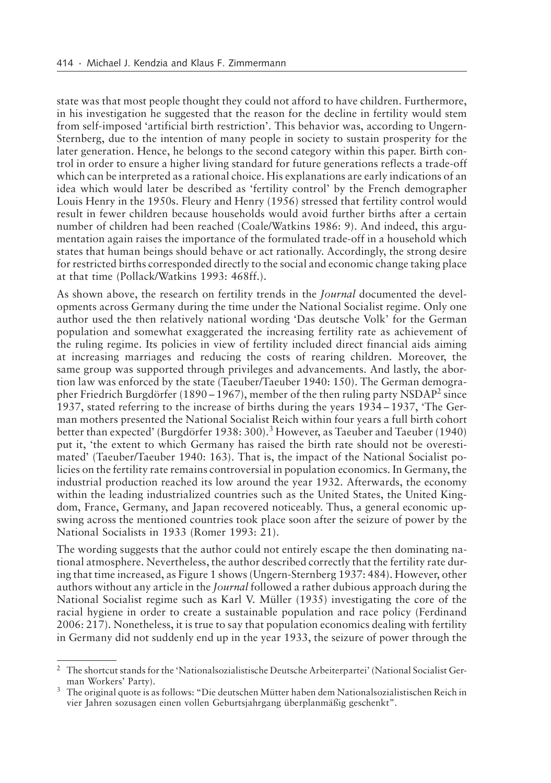state was that most people thought they could not afford to have children. Furthermore, in his investigation he suggested that the reason for the decline in fertility would stem from self-imposed 'artificial birth restriction'. This behavior was, according to Ungern-Sternberg, due to the intention of many people in society to sustain prosperity for the later generation. Hence, he belongs to the second category within this paper. Birth control in order to ensure a higher living standard for future generations reflects a trade-off which can be interpreted as a rational choice. His explanations are early indications of an idea which would later be described as 'fertility control' by the French demographer Louis Henry in the 1950s. Fleury and Henry (1956) stressed that fertility control would result in fewer children because households would avoid further births after a certain number of children had been reached (Coale/Watkins 1986: 9). And indeed, this argumentation again raises the importance of the formulated trade-off in a household which states that human beings should behave or act rationally. Accordingly, the strong desire for restricted births corresponded directly to the social and economic change taking place at that time (Pollack/Watkins 1993: 468ff.).

As shown above, the research on fertility trends in the *Journal* documented the developments across Germany during the time under the National Socialist regime. Only one author used the then relatively national wording 'Das deutsche Volk' for the German population and somewhat exaggerated the increasing fertility rate as achievement of the ruling regime. Its policies in view of fertility included direct financial aids aiming at increasing marriages and reducing the costs of rearing children. Moreover, the same group was supported through privileges and advancements. And lastly, the abortion law was enforced by the state (Taeuber/Taeuber 1940: 150). The German demographer Friedrich Burgdörfer (1890 – 1967), member of the then ruling party NSDAP<sup>2</sup> since 1937, stated referring to the increase of births during the years 1934 – 1937, 'The German mothers presented the National Socialist Reich within four years a full birth cohort better than expected' (Burgdörfer 1938: 300).<sup>3</sup> However, as Taeuber and Taeuber (1940) put it, 'the extent to which Germany has raised the birth rate should not be overestimated' (Taeuber/Taeuber 1940: 163). That is, the impact of the National Socialist policies on the fertility rate remains controversial in population economics. In Germany, the industrial production reached its low around the year 1932. Afterwards, the economy within the leading industrialized countries such as the United States, the United Kingdom, France, Germany, and Japan recovered noticeably. Thus, a general economic upswing across the mentioned countries took place soon after the seizure of power by the National Socialists in 1933 (Romer 1993: 21).

The wording suggests that the author could not entirely escape the then dominating national atmosphere. Nevertheless, the author described correctly that the fertility rate during that time increased, as Figure 1 shows (Ungern-Sternberg 1937: 484). However, other authors without any article in the *Journal* followed a rather dubious approach during the National Socialist regime such as Karl V. Müller  $(1935)$  investigating the core of the racial hygiene in order to create a sustainable population and race policy (Ferdinand 2006: 217). Nonetheless, it is true to say that population economics dealing with fertility in Germany did not suddenly end up in the year 1933, the seizure of power through the

<sup>2</sup> The shortcut stands for the 'Nationalsozialistische Deutsche Arbeiterpartei' (National Socialist German Workers' Party).

<sup>&</sup>lt;sup>3</sup> The original quote is as follows: "Die deutschen Mütter haben dem Nationalsozialistischen Reich in vier Jahren sozusagen einen vollen Geburtsjahrgang überplanmäßig geschenkt".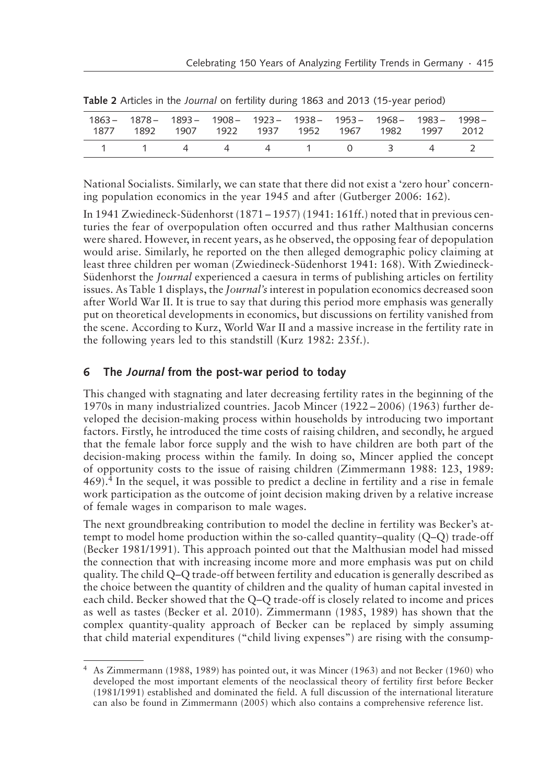|  |  | 1863 - 1878 - 1893 - 1908 - 1923 - 1938 - 1953 - 1968 - 1983 - 1998 - |  |  |
|--|--|-----------------------------------------------------------------------|--|--|
|  |  | 1877 1892 1907 1922 1937 1952 1967 1982 1997 2012                     |  |  |
|  |  | 1 1 4 4 4 1 0 3 4 2                                                   |  |  |

Table 2 Articles in the Journal on fertility during 1863 and 2013 (15-year period)

National Socialists. Similarly, we can state that there did not exist a 'zero hour' concerning population economics in the year 1945 and after (Gutberger 2006: 162).

In 1941 Zwiedineck-Südenhorst (1871 – 1957) (1941: 161ff.) noted that in previous centuries the fear of overpopulation often occurred and thus rather Malthusian concerns were shared. However, in recent years, as he observed, the opposing fear of depopulation would arise. Similarly, he reported on the then alleged demographic policy claiming at least three children per woman (Zwiedineck-Südenhorst 1941: 168). With Zwiedineck-Sudenhorst the *Journal* experienced a caesura in terms of publishing articles on fertility issues. As Table 1 displays, the *Journal's* interest in population economics decreased soon after World War II. It is true to say that during this period more emphasis was generally put on theoretical developments in economics, but discussions on fertility vanished from the scene. According to Kurz, World War II and a massive increase in the fertility rate in the following years led to this standstill (Kurz 1982: 235f.).

#### 6 The Journal from the post-war period to today

This changed with stagnating and later decreasing fertility rates in the beginning of the 1970s in many industrialized countries. Jacob Mincer (1922 – 2006) (1963) further developed the decision-making process within households by introducing two important factors. Firstly, he introduced the time costs of raising children, and secondly, he argued that the female labor force supply and the wish to have children are both part of the decision-making process within the family. In doing so, Mincer applied the concept of opportunity costs to the issue of raising children (Zimmermann 1988: 123, 1989:  $469$ ).<sup>4</sup> In the sequel, it was possible to predict a decline in fertility and a rise in female work participation as the outcome of joint decision making driven by a relative increase of female wages in comparison to male wages.

The next groundbreaking contribution to model the decline in fertility was Becker's attempt to model home production within the so-called quantity–quality (Q–Q) trade-off (Becker 1981/1991). This approach pointed out that the Malthusian model had missed the connection that with increasing income more and more emphasis was put on child quality. The child Q–Q trade-off between fertility and education is generally described as the choice between the quantity of children and the quality of human capital invested in each child. Becker showed that the Q–Q trade-off is closely related to income and prices as well as tastes (Becker et al. 2010). Zimmermann (1985, 1989) has shown that the complex quantity-quality approach of Becker can be replaced by simply assuming that child material expenditures ("child living expenses") are rising with the consump-

<sup>4</sup> As Zimmermann (1988, 1989) has pointed out, it was Mincer (1963) and not Becker (1960) who developed the most important elements of the neoclassical theory of fertility first before Becker (1981/1991) established and dominated the field. A full discussion of the international literature can also be found in Zimmermann (2005) which also contains a comprehensive reference list.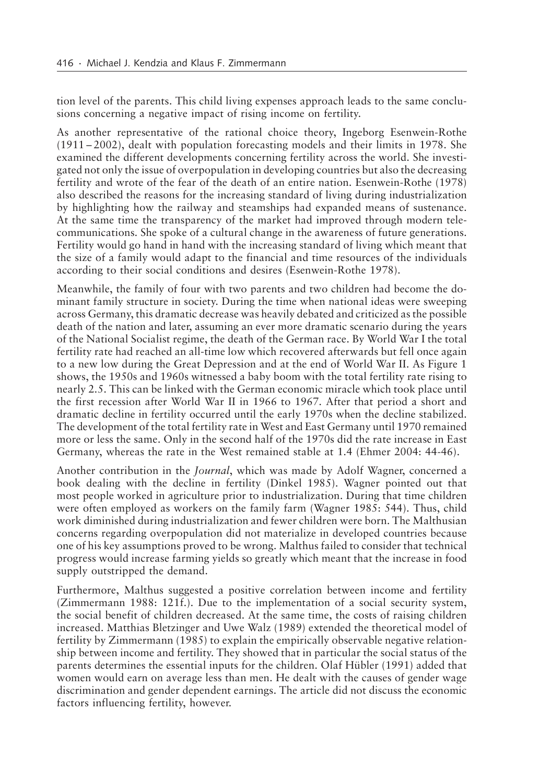tion level of the parents. This child living expenses approach leads to the same conclusions concerning a negative impact of rising income on fertility.

As another representative of the rational choice theory, Ingeborg Esenwein-Rothe (1911 – 2002), dealt with population forecasting models and their limits in 1978. She examined the different developments concerning fertility across the world. She investigated not only the issue of overpopulation in developing countries but also the decreasing fertility and wrote of the fear of the death of an entire nation. Esenwein-Rothe (1978) also described the reasons for the increasing standard of living during industrialization by highlighting how the railway and steamships had expanded means of sustenance. At the same time the transparency of the market had improved through modern telecommunications. She spoke of a cultural change in the awareness of future generations. Fertility would go hand in hand with the increasing standard of living which meant that the size of a family would adapt to the financial and time resources of the individuals according to their social conditions and desires (Esenwein-Rothe 1978).

Meanwhile, the family of four with two parents and two children had become the dominant family structure in society. During the time when national ideas were sweeping across Germany, this dramatic decrease was heavily debated and criticized as the possible death of the nation and later, assuming an ever more dramatic scenario during the years of the National Socialist regime, the death of the German race. By World War I the total fertility rate had reached an all-time low which recovered afterwards but fell once again to a new low during the Great Depression and at the end of World War II. As Figure 1 shows, the 1950s and 1960s witnessed a baby boom with the total fertility rate rising to nearly 2.5. This can be linked with the German economic miracle which took place until the first recession after World War II in 1966 to 1967. After that period a short and dramatic decline in fertility occurred until the early 1970s when the decline stabilized. The development of the total fertility rate in West and East Germany until 1970 remained more or less the same. Only in the second half of the 1970s did the rate increase in East Germany, whereas the rate in the West remained stable at 1.4 (Ehmer 2004: 44-46).

Another contribution in the Journal, which was made by Adolf Wagner, concerned a book dealing with the decline in fertility (Dinkel 1985). Wagner pointed out that most people worked in agriculture prior to industrialization. During that time children were often employed as workers on the family farm (Wagner 1985: 544). Thus, child work diminished during industrialization and fewer children were born. The Malthusian concerns regarding overpopulation did not materialize in developed countries because one of his key assumptions proved to be wrong. Malthus failed to consider that technical progress would increase farming yields so greatly which meant that the increase in food supply outstripped the demand.

Furthermore, Malthus suggested a positive correlation between income and fertility (Zimmermann 1988: 121f.). Due to the implementation of a social security system, the social benefit of children decreased. At the same time, the costs of raising children increased. Matthias Bletzinger and Uwe Walz (1989) extended the theoretical model of fertility by Zimmermann (1985) to explain the empirically observable negative relationship between income and fertility. They showed that in particular the social status of the parents determines the essential inputs for the children. Olaf Hübler (1991) added that women would earn on average less than men. He dealt with the causes of gender wage discrimination and gender dependent earnings. The article did not discuss the economic factors influencing fertility, however.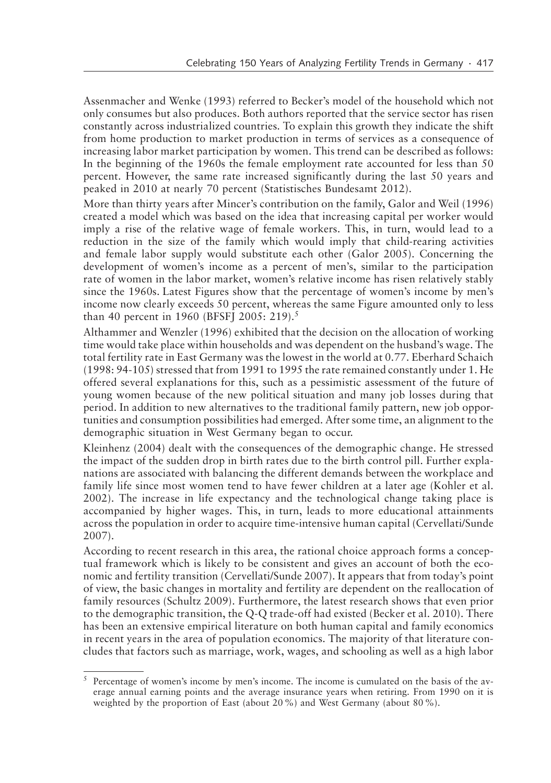Assenmacher and Wenke (1993) referred to Becker's model of the household which not only consumes but also produces. Both authors reported that the service sector has risen constantly across industrialized countries. To explain this growth they indicate the shift from home production to market production in terms of services as a consequence of increasing labor market participation by women. This trend can be described as follows: In the beginning of the 1960s the female employment rate accounted for less than 50 percent. However, the same rate increased significantly during the last 50 years and peaked in 2010 at nearly 70 percent (Statistisches Bundesamt 2012).

More than thirty years after Mincer's contribution on the family, Galor and Weil (1996) created a model which was based on the idea that increasing capital per worker would imply a rise of the relative wage of female workers. This, in turn, would lead to a reduction in the size of the family which would imply that child-rearing activities and female labor supply would substitute each other (Galor 2005). Concerning the development of women's income as a percent of men's, similar to the participation rate of women in the labor market, women's relative income has risen relatively stably since the 1960s. Latest Figures show that the percentage of women's income by men's income now clearly exceeds 50 percent, whereas the same Figure amounted only to less than 40 percent in 1960 (BFSFJ 2005: 219).<sup>5</sup>

Althammer and Wenzler (1996) exhibited that the decision on the allocation of working time would take place within households and was dependent on the husband's wage. The total fertility rate in East Germany was the lowest in the world at 0.77. Eberhard Schaich (1998: 94-105) stressed that from 1991 to 1995 the rate remained constantly under 1. He offered several explanations for this, such as a pessimistic assessment of the future of young women because of the new political situation and many job losses during that period. In addition to new alternatives to the traditional family pattern, new job opportunities and consumption possibilities had emerged. After some time, an alignment to the demographic situation in West Germany began to occur.

Kleinhenz (2004) dealt with the consequences of the demographic change. He stressed the impact of the sudden drop in birth rates due to the birth control pill. Further explanations are associated with balancing the different demands between the workplace and family life since most women tend to have fewer children at a later age (Kohler et al. 2002). The increase in life expectancy and the technological change taking place is accompanied by higher wages. This, in turn, leads to more educational attainments across the population in order to acquire time-intensive human capital (Cervellati/Sunde 2007).

According to recent research in this area, the rational choice approach forms a conceptual framework which is likely to be consistent and gives an account of both the economic and fertility transition (Cervellati/Sunde 2007). It appears that from today's point of view, the basic changes in mortality and fertility are dependent on the reallocation of family resources (Schultz 2009). Furthermore, the latest research shows that even prior to the demographic transition, the Q-Q trade-off had existed (Becker et al. 2010). There has been an extensive empirical literature on both human capital and family economics in recent years in the area of population economics. The majority of that literature concludes that factors such as marriage, work, wages, and schooling as well as a high labor

<sup>5</sup> Percentage of women's income by men's income. The income is cumulated on the basis of the average annual earning points and the average insurance years when retiring. From 1990 on it is weighted by the proportion of East (about 20 %) and West Germany (about 80 %).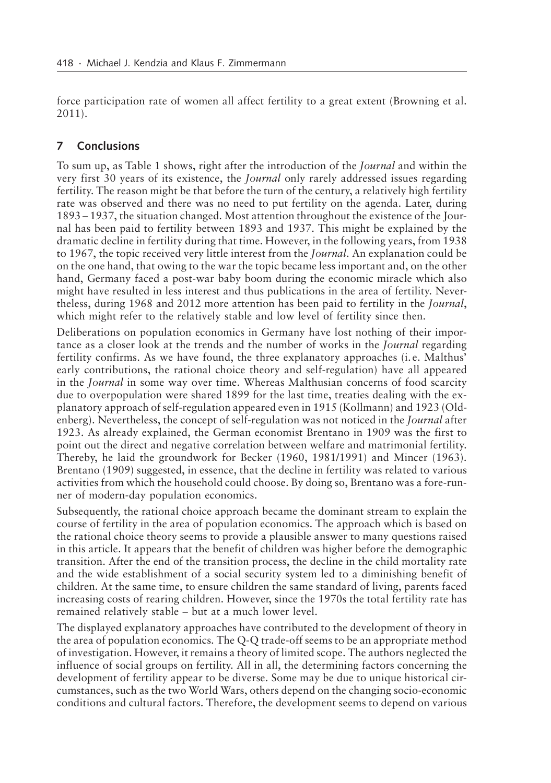force participation rate of women all affect fertility to a great extent (Browning et al. 2011).

## 7 Conclusions

To sum up, as Table 1 shows, right after the introduction of the Journal and within the very first 30 years of its existence, the *Journal* only rarely addressed issues regarding fertility. The reason might be that before the turn of the century, a relatively high fertility rate was observed and there was no need to put fertility on the agenda. Later, during 1893 – 1937, the situation changed. Most attention throughout the existence of the Journal has been paid to fertility between 1893 and 1937. This might be explained by the dramatic decline in fertility during that time. However, in the following years, from 1938 to 1967, the topic received very little interest from the *Journal*. An explanation could be on the one hand, that owing to the war the topic became less important and, on the other hand, Germany faced a post-war baby boom during the economic miracle which also might have resulted in less interest and thus publications in the area of fertility. Nevertheless, during 1968 and 2012 more attention has been paid to fertility in the Journal, which might refer to the relatively stable and low level of fertility since then.

Deliberations on population economics in Germany have lost nothing of their importance as a closer look at the trends and the number of works in the *Journal* regarding fertility confirms. As we have found, the three explanatory approaches (i. e. Malthus' early contributions, the rational choice theory and self-regulation) have all appeared in the *Journal* in some way over time. Whereas Malthusian concerns of food scarcity due to overpopulation were shared 1899 for the last time, treaties dealing with the explanatory approach of self-regulation appeared even in 1915 (Kollmann) and 1923 (Oldenberg). Nevertheless, the concept of self-regulation was not noticed in the *Journal* after 1923. As already explained, the German economist Brentano in 1909 was the first to point out the direct and negative correlation between welfare and matrimonial fertility. Thereby, he laid the groundwork for Becker (1960, 1981/1991) and Mincer (1963). Brentano (1909) suggested, in essence, that the decline in fertility was related to various activities from which the household could choose. By doing so, Brentano was a fore-runner of modern-day population economics.

Subsequently, the rational choice approach became the dominant stream to explain the course of fertility in the area of population economics. The approach which is based on the rational choice theory seems to provide a plausible answer to many questions raised in this article. It appears that the benefit of children was higher before the demographic transition. After the end of the transition process, the decline in the child mortality rate and the wide establishment of a social security system led to a diminishing benefit of children. At the same time, to ensure children the same standard of living, parents faced increasing costs of rearing children. However, since the 1970s the total fertility rate has remained relatively stable – but at a much lower level.

The displayed explanatory approaches have contributed to the development of theory in the area of population economics. The Q-Q trade-off seems to be an appropriate method of investigation. However, it remains a theory of limited scope. The authors neglected the influence of social groups on fertility. All in all, the determining factors concerning the development of fertility appear to be diverse. Some may be due to unique historical circumstances, such as the two World Wars, others depend on the changing socio-economic conditions and cultural factors. Therefore, the development seems to depend on various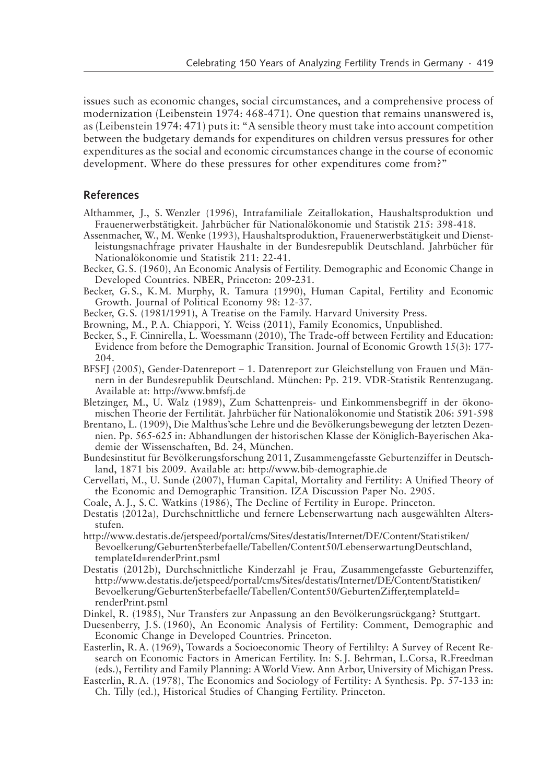issues such as economic changes, social circumstances, and a comprehensive process of modernization (Leibenstein 1974: 468-471). One question that remains unanswered is, as (Leibenstein 1974: 471) puts it: "A sensible theory must take into account competition between the budgetary demands for expenditures on children versus pressures for other expenditures as the social and economic circumstances change in the course of economic development. Where do these pressures for other expenditures come from?"

#### References

- Althammer, J., S. Wenzler (1996), Intrafamiliale Zeitallokation, Haushaltsproduktion und Frauenerwerbstätigkeit. Jahrbücher für Nationalökonomie und Statistik 215: 398-418.
- Assenmacher, W., M. Wenke (1993), Haushaltsproduktion, Frauenerwerbstätigkeit und Dienstleistungsnachfrage privater Haushalte in der Bundesrepublik Deutschland. Jahrbücher für Nationalökonomie und Statistik 211: 22-41.
- Becker, G. S. (1960), An Economic Analysis of Fertility. Demographic and Economic Change in Developed Countries. NBER, Princeton: 209-231.
- Becker, G.S., K.M. Murphy, R. Tamura (1990), Human Capital, Fertility and Economic Growth. Journal of Political Economy 98: 12-37.
- Becker, G.S. (1981/1991), A Treatise on the Family. Harvard University Press.
- Browning, M., P.A. Chiappori, Y. Weiss (2011), Family Economics, Unpublished.
- Becker, S., F. Cinnirella, L. Woessmann (2010), The Trade-off between Fertility and Education: Evidence from before the Demographic Transition. Journal of Economic Growth 15(3): 177- 204.
- BFSFJ (2005), Gender-Datenreport 1. Datenreport zur Gleichstellung von Frauen und Männern in der Bundesrepublik Deutschland. München: Pp. 219. VDR-Statistik Rentenzugang. Available at: http://www.bmfsfj.de
- Bletzinger, M., U. Walz (1989), Zum Schattenpreis- und Einkommensbegriff in der ökonomischen Theorie der Fertilität. Jahrbücher für Nationalökonomie und Statistik 206: 591-598
- Brentano, L. (1909), Die Malthus'sche Lehre und die Bevölkerungsbewegung der letzten Dezennien. Pp. 565-625 in: Abhandlungen der historischen Klasse der Königlich-Bayerischen Akademie der Wissenschaften, Bd. 24, München.
- Bundesinstitut für Bevölkerungsforschung 2011, Zusammengefasste Geburtenziffer in Deutschland, 1871 bis 2009. Available at: http://www.bib-demographie.de
- Cervellati, M., U. Sunde (2007), Human Capital, Mortality and Fertility: A Unified Theory of the Economic and Demographic Transition. IZA Discussion Paper No. 2905.
- Coale, A. J., S. C. Watkins (1986), The Decline of Fertility in Europe. Princeton.
- Destatis (2012a), Durchschnittliche und fernere Lebenserwartung nach ausgewählten Altersstufen.
- http://www.destatis.de/jetspeed/portal/cms/Sites/destatis/Internet/DE/Content/Statistiken/ Bevoelkerung/GeburtenSterbefaelle/Tabellen/Content50/LebenserwartungDeutschland, templateId=renderPrint.psml
- Destatis (2012b), Durchschnittliche Kinderzahl je Frau, Zusammengefasste Geburtenziffer, http://www.destatis.de/jetspeed/portal/cms/Sites/destatis/Internet/DE/Content/Statistiken/ Bevoelkerung/GeburtenSterbefaelle/Tabellen/Content50/GeburtenZiffer,templateId= renderPrint.psml
- Dinkel, R. (1985), Nur Transfers zur Anpassung an den Bevölkerungsrückgang? Stuttgart.
- Duesenberry, J. S. (1960), An Economic Analysis of Fertility: Comment, Demographic and Economic Change in Developed Countries. Princeton.
- Easterlin, R. A. (1969), Towards a Socioeconomic Theory of Fertililty: A Survey of Recent Research on Economic Factors in American Fertility. In: S. J. Behrman, L.Corsa, R.Freedman (eds.), Fertility and Family Planning: AWorld View. Ann Arbor, University of Michigan Press.
- Easterlin, R. A. (1978), The Economics and Sociology of Fertility: A Synthesis. Pp. 57-133 in: Ch. Tilly (ed.), Historical Studies of Changing Fertility. Princeton.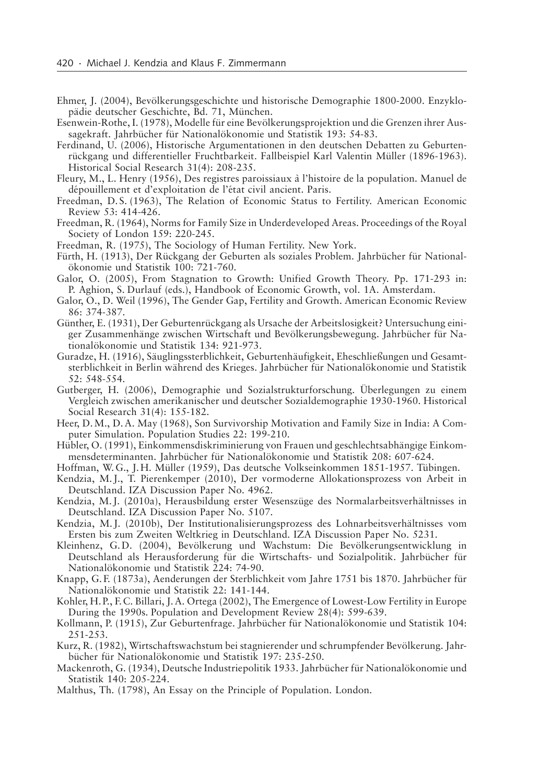- Ehmer, J. (2004), Bevölkerungsgeschichte und historische Demographie 1800-2000. Enzyklopädie deutscher Geschichte, Bd. 71, München.
- Esenwein-Rothe, I. (1978), Modelle für eine Bevölkerungsprojektion und die Grenzen ihrer Aussagekraft. Jahrbücher für Nationalökonomie und Statistik 193: 54-83.
- Ferdinand, U. (2006), Historische Argumentationen in den deutschen Debatten zu Geburtenrückgang und differentieller Fruchtbarkeit. Fallbeispiel Karl Valentin Müller (1896-1963). Historical Social Research 31(4): 208-235.
- Fleury, M., L. Henry (1956), Des registres paroissiaux a` l'histoire de la population. Manuel de dépouillement et d'exploitation de l'état civil ancient. Paris.
- Freedman, D.S. (1963), The Relation of Economic Status to Fertility. American Economic Review 53: 414-426.
- Freedman, R. (1964), Norms for Family Size in Underdeveloped Areas. Proceedings of the Royal Society of London 159: 220-245.
- Freedman, R. (1975), The Sociology of Human Fertility. New York.
- Fürth, H. (1913), Der Rückgang der Geburten als soziales Problem. Jahrbücher für Nationalökonomie und Statistik 100: 721-760.
- Galor, O. (2005), From Stagnation to Growth: Unified Growth Theory. Pp. 171-293 in: P. Aghion, S. Durlauf (eds.), Handbook of Economic Growth, vol. 1A. Amsterdam.
- Galor, O., D. Weil (1996), The Gender Gap, Fertility and Growth. American Economic Review 86: 374-387.
- Günther, E. (1931), Der Geburtenrückgang als Ursache der Arbeitslosigkeit? Untersuchung einiger Zusammenhänge zwischen Wirtschaft und Bevölkerungsbewegung. Jahrbücher für Nationalökonomie und Statistik 134: 921-973.
- Guradze, H. (1916), Säuglingssterblichkeit, Geburtenhäufigkeit, Eheschließungen und Gesamtsterblichkeit in Berlin während des Krieges. Jahrbücher für Nationalökonomie und Statistik 52: 548-554.
- Gutberger, H. (2006), Demographie und Sozialstrukturforschung. Überlegungen zu einem Vergleich zwischen amerikanischer und deutscher Sozialdemographie 1930-1960. Historical Social Research 31(4): 155-182.
- Heer, D.M., D. A. May (1968), Son Survivorship Motivation and Family Size in India: A Computer Simulation. Population Studies 22: 199-210.
- Hübler, O. (1991), Einkommensdiskriminierung von Frauen und geschlechtsabhängige Einkommensdeterminanten. Jahrbücher für Nationalökonomie und Statistik 208: 607-624.
- Hoffman, W.G., J.H. Müller (1959), Das deutsche Volkseinkommen 1851-1957. Tübingen.
- Kendzia, M. J., T. Pierenkemper (2010), Der vormoderne Allokationsprozess von Arbeit in Deutschland. IZA Discussion Paper No. 4962.
- Kendzia, M. J. (2010a), Herausbildung erster Wesenszüge des Normalarbeitsverhältnisses in Deutschland. IZA Discussion Paper No. 5107.
- Kendzia, M. J. (2010b), Der Institutionalisierungsprozess des Lohnarbeitsverhältnisses vom Ersten bis zum Zweiten Weltkrieg in Deutschland. IZA Discussion Paper No. 5231.
- Kleinhenz, G.D. (2004), Bevölkerung und Wachstum: Die Bevölkerungsentwicklung in Deutschland als Herausforderung für die Wirtschafts- und Sozialpolitik. Jahrbücher für Nationalökonomie und Statistik 224: 74-90.
- Knapp, G. F. (1873a), Aenderungen der Sterblichkeit vom Jahre 1751 bis 1870. Jahrbücher für Nationalökonomie und Statistik 22: 141-144.
- Kohler, H. P., F. C. Billari, J. A. Ortega (2002), The Emergence of Lowest-Low Fertility in Europe During the 1990s. Population and Development Review 28(4): 599-639.
- Kollmann, P. (1915), Zur Geburtenfrage. Jahrbücher für Nationalökonomie und Statistik 104: 251-253.
- Kurz, R. (1982), Wirtschaftswachstum bei stagnierender und schrumpfender Bevölkerung. Jahrbücher für Nationalökonomie und Statistik 197: 235-250.
- Mackenroth, G. (1934), Deutsche Industriepolitik 1933. Jahrbücher für Nationalökonomie und Statistik 140: 205-224.
- Malthus, Th. (1798), An Essay on the Principle of Population. London.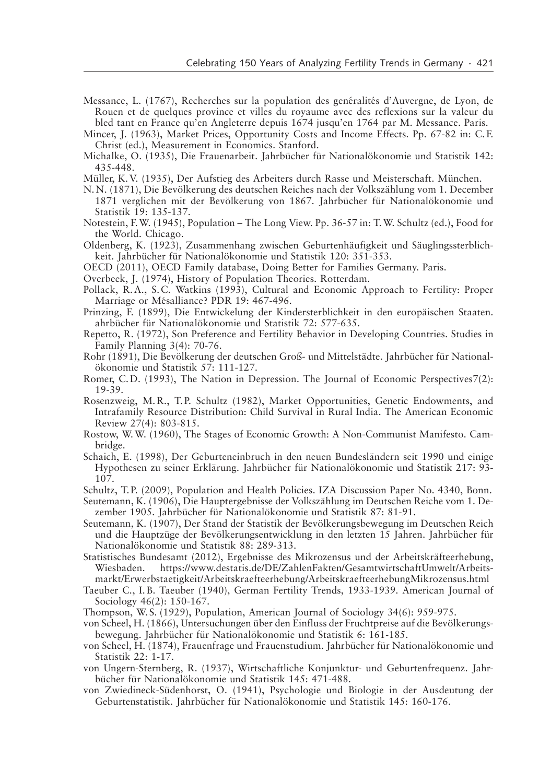- Messance, L. (1767), Recherches sur la population des genéralités d'Auvergne, de Lyon, de Rouen et de quelques province et villes du royaume avec des reflexions sur la valeur du bled tant en France qu'en Angleterre depuis 1674 jusqu'en 1764 par M. Messance. Paris.
- Mincer, J. (1963), Market Prices, Opportunity Costs and Income Effects. Pp. 67-82 in: C. F. Christ (ed.), Measurement in Economics. Stanford.
- Michalke, O. (1935), Die Frauenarbeit. Jahrbücher für Nationalökonomie und Statistik 142: 435-448.
- Müller, K. V. (1935), Der Aufstieg des Arbeiters durch Rasse und Meisterschaft. München.
- N.N. (1871), Die Bevölkerung des deutschen Reiches nach der Volkszählung vom 1. December 1871 verglichen mit der Bevölkerung von 1867. Jahrbücher für Nationalökonomie und Statistik 19: 135-137.
- Notestein, F.W. (1945), Population The Long View. Pp. 36-57 in: T.W. Schultz (ed.), Food for the World. Chicago.
- Oldenberg, K. (1923), Zusammenhang zwischen Geburtenhäufigkeit und Säuglingssterblichkeit. Jahrbücher für Nationalökonomie und Statistik 120: 351-353.
- OECD (2011), OECD Family database, Doing Better for Families Germany. Paris.
- Overbeek, J. (1974), History of Population Theories. Rotterdam.
- Pollack, R. A., S. C. Watkins (1993), Cultural and Economic Approach to Fertility: Proper Marriage or Mésalliance? PDR 19: 467-496.
- Prinzing, F. (1899), Die Entwickelung der Kindersterblichkeit in den europäischen Staaten. ahrbücher für Nationalökonomie und Statistik 72: 577-635.
- Repetto, R. (1972), Son Preference and Fertility Behavior in Developing Countries. Studies in Family Planning 3(4): 70-76.
- Rohr (1891), Die Bevölkerung der deutschen Groß- und Mittelstädte. Jahrbücher für Nationalökonomie und Statistik 57: 111-127.
- Romer, C.D. (1993), The Nation in Depression. The Journal of Economic Perspectives7(2): 19-39.
- Rosenzweig, M. R., T. P. Schultz (1982), Market Opportunities, Genetic Endowments, and Intrafamily Resource Distribution: Child Survival in Rural India. The American Economic Review 27(4): 803-815.
- Rostow, W.W. (1960), The Stages of Economic Growth: A Non-Communist Manifesto. Cambridge.
- Schaich, E. (1998), Der Geburteneinbruch in den neuen Bundesländern seit 1990 und einige Hypothesen zu seiner Erklärung. Jahrbücher für Nationalökonomie und Statistik 217: 93-107.
- Schultz, T.P. (2009), Population and Health Policies. IZA Discussion Paper No. 4340, Bonn.
- Seutemann, K. (1906), Die Hauptergebnisse der Volkszählung im Deutschen Reiche vom 1. Dezember 1905. Jahrbücher für Nationalökonomie und Statistik 87: 81-91.
- Seutemann, K. (1907), Der Stand der Statistik der Bevölkerungsbewegung im Deutschen Reich und die Hauptzüge der Bevölkerungsentwicklung in den letzten 15 Jahren. Jahrbücher für Nationalökonomie und Statistik 88: 289-313.
- Statistisches Bundesamt (2012), Ergebnisse des Mikrozensus und der Arbeitskräfteerhebung, Wiesbaden. https://www.destatis.de/DE/ZahlenFakten/GesamtwirtschaftUmwelt/Arbeitsmarkt/Erwerbstaetigkeit/Arbeitskraefteerhebung/ArbeitskraefteerhebungMikrozensus.html
- Taeuber C., I. B. Taeuber (1940), German Fertility Trends, 1933-1939. American Journal of Sociology 46(2): 150-167.
- Thompson, W. S. (1929), Population, American Journal of Sociology 34(6): 959-975.
- von Scheel, H. (1866), Untersuchungen über den Einfluss der Fruchtpreise auf die Bevölkerungsbewegung. Jahrbücher für Nationalökonomie und Statistik 6: 161-185.
- von Scheel, H. (1874), Frauenfrage und Frauenstudium. Jahrbücher für Nationalökonomie und Statistik 22: 1-17.
- von Ungern-Sternberg, R. (1937), Wirtschaftliche Konjunktur- und Geburtenfrequenz. Jahrbücher für Nationalökonomie und Statistik 145: 471-488.
- von Zwiedineck-Südenhorst, O. (1941), Psychologie und Biologie in der Ausdeutung der Geburtenstatistik. Jahrbücher für Nationalökonomie und Statistik 145: 160-176.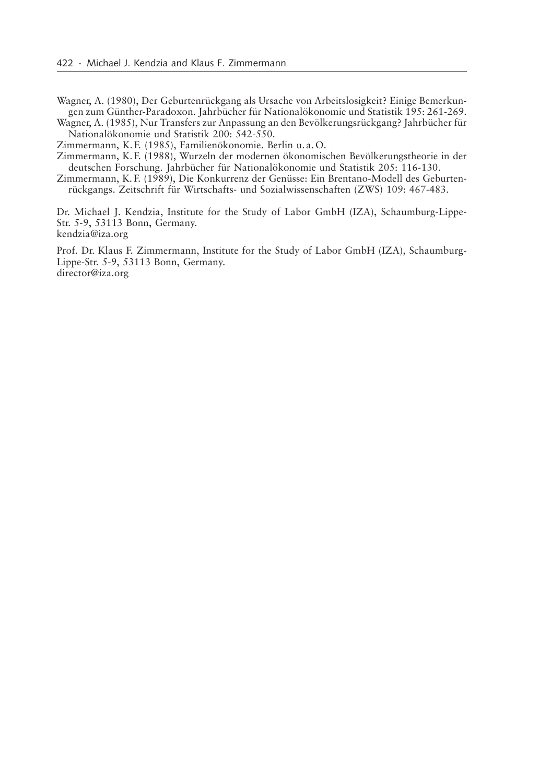Wagner, A. (1980), Der Geburtenrückgang als Ursache von Arbeitslosigkeit? Einige Bemerkungen zum Günther-Paradoxon. Jahrbücher für Nationalökonomie und Statistik 195: 261-269.

Wagner, A. (1985), Nur Transfers zur Anpassung an den Bevölkerungsrückgang? Jahrbücher für Nationalökonomie und Statistik 200: 542-550.

Zimmermann, K.F. (1985), Familienökonomie. Berlin u.a.O.

Zimmermann, K. F. (1988), Wurzeln der modernen ökonomischen Bevölkerungstheorie in der deutschen Forschung. Jahrbücher für Nationalökonomie und Statistik 205: 116-130.

Zimmermann, K. F. (1989), Die Konkurrenz der Genüsse: Ein Brentano-Modell des Geburtenrückgangs. Zeitschrift für Wirtschafts- und Sozialwissenschaften (ZWS) 109: 467-483.

Dr. Michael J. Kendzia, Institute for the Study of Labor GmbH (IZA), Schaumburg-Lippe-Str. 5-9, 53113 Bonn, Germany.

kendzia@iza.org

Prof. Dr. Klaus F. Zimmermann, Institute for the Study of Labor GmbH (IZA), Schaumburg-Lippe-Str. 5-9, 53113 Bonn, Germany. director@iza.org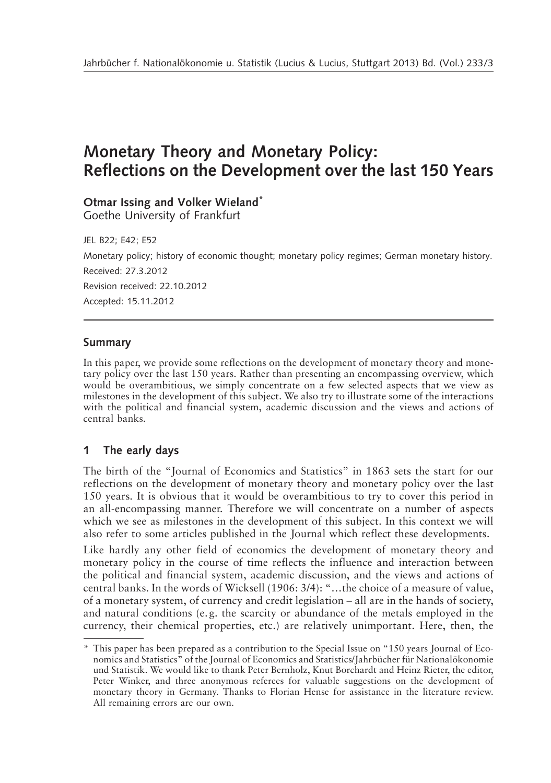## Monetary Theory and Monetary Policy: Reflections on the Development over the last 150 Years

Otmar Issing and Volker Wieland\*

Goethe University of Frankfurt

JEL B22; E42; E52

Monetary policy; history of economic thought; monetary policy regimes; German monetary history. Received: 27.3.2012 Revision received: 22.10.2012 Accepted: 15.11.2012

## Summary

In this paper, we provide some reflections on the development of monetary theory and monetary policy over the last 150 years. Rather than presenting an encompassing overview, which would be overambitious, we simply concentrate on a few selected aspects that we view as milestones in the development of this subject. We also try to illustrate some of the interactions with the political and financial system, academic discussion and the views and actions of central banks.

## 1 The early days

The birth of the "Journal of Economics and Statistics" in 1863 sets the start for our reflections on the development of monetary theory and monetary policy over the last 150 years. It is obvious that it would be overambitious to try to cover this period in an all-encompassing manner. Therefore we will concentrate on a number of aspects which we see as milestones in the development of this subject. In this context we will also refer to some articles published in the Journal which reflect these developments.

Like hardly any other field of economics the development of monetary theory and monetary policy in the course of time reflects the influence and interaction between the political and financial system, academic discussion, and the views and actions of central banks. In the words of Wicksell (1906: 3/4): "…the choice of a measure of value, of a monetary system, of currency and credit legislation – all are in the hands of society, and natural conditions (e. g. the scarcity or abundance of the metals employed in the currency, their chemical properties, etc.) are relatively unimportant. Here, then, the

<sup>\*</sup> This paper has been prepared as a contribution to the Special Issue on "150 years Journal of Economics and Statistics" of the Journal of Economics and Statistics/Jahrbücher für Nationalökonomie und Statistik. We would like to thank Peter Bernholz, Knut Borchardt and Heinz Rieter, the editor, Peter Winker, and three anonymous referees for valuable suggestions on the development of monetary theory in Germany. Thanks to Florian Hense for assistance in the literature review. All remaining errors are our own.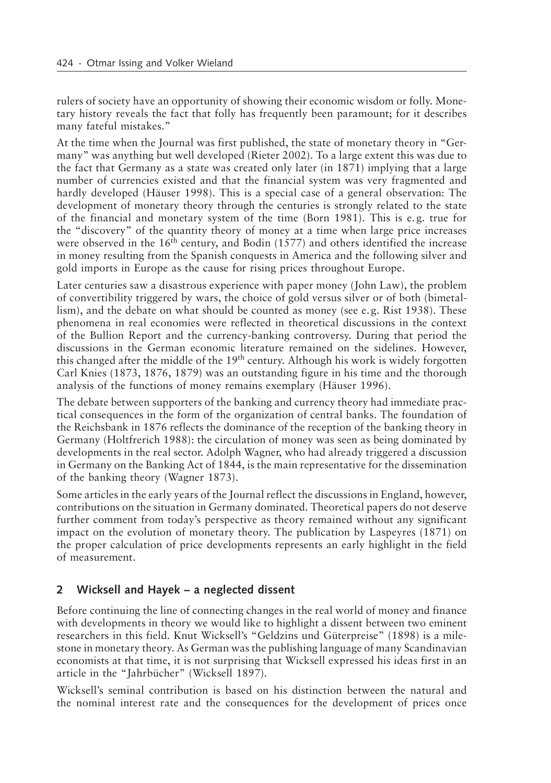rulers of society have an opportunity of showing their economic wisdom or folly. Monetary history reveals the fact that folly has frequently been paramount; for it describes many fateful mistakes."

At the time when the Journal was first published, the state of monetary theory in "Germany" was anything but well developed (Rieter 2002). To a large extent this was due to the fact that Germany as a state was created only later (in 1871) implying that a large number of currencies existed and that the financial system was very fragmented and hardly developed (Häuser 1998). This is a special case of a general observation: The development of monetary theory through the centuries is strongly related to the state of the financial and monetary system of the time (Born 1981). This is e. g. true for the "discovery" of the quantity theory of money at a time when large price increases were observed in the  $16<sup>th</sup>$  century, and Bodin (1577) and others identified the increase in money resulting from the Spanish conquests in America and the following silver and gold imports in Europe as the cause for rising prices throughout Europe.

Later centuries saw a disastrous experience with paper money (John Law), the problem of convertibility triggered by wars, the choice of gold versus silver or of both (bimetallism), and the debate on what should be counted as money (see e. g. Rist 1938). These phenomena in real economies were reflected in theoretical discussions in the context of the Bullion Report and the currency-banking controversy. During that period the discussions in the German economic literature remained on the sidelines. However, this changed after the middle of the 19<sup>th</sup> century. Although his work is widely forgotten Carl Knies (1873, 1876, 1879) was an outstanding figure in his time and the thorough analysis of the functions of money remains exemplary (Häuser 1996).

The debate between supporters of the banking and currency theory had immediate practical consequences in the form of the organization of central banks. The foundation of the Reichsbank in 1876 reflects the dominance of the reception of the banking theory in Germany (Holtfrerich 1988): the circulation of money was seen as being dominated by developments in the real sector. Adolph Wagner, who had already triggered a discussion in Germany on the Banking Act of 1844, is the main representative for the dissemination of the banking theory (Wagner 1873).

Some articles in the early years of the Journal reflect the discussions in England, however, contributions on the situation in Germany dominated. Theoretical papers do not deserve further comment from today's perspective as theory remained without any significant impact on the evolution of monetary theory. The publication by Laspeyres (1871) on the proper calculation of price developments represents an early highlight in the field of measurement.

## 2 Wicksell and Hayek – a neglected dissent

Before continuing the line of connecting changes in the real world of money and finance with developments in theory we would like to highlight a dissent between two eminent researchers in this field. Knut Wicksell's "Geldzins und Güterpreise" (1898) is a milestone in monetary theory. As German was the publishing language of many Scandinavian economists at that time, it is not surprising that Wicksell expressed his ideas first in an article in the "Jahrbücher" (Wicksell 1897).

Wicksell's seminal contribution is based on his distinction between the natural and the nominal interest rate and the consequences for the development of prices once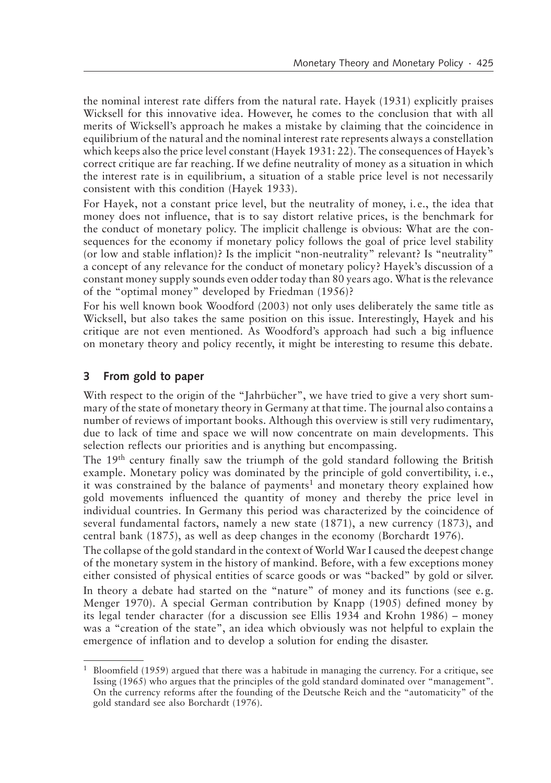the nominal interest rate differs from the natural rate. Hayek (1931) explicitly praises Wicksell for this innovative idea. However, he comes to the conclusion that with all merits of Wicksell's approach he makes a mistake by claiming that the coincidence in equilibrium of the natural and the nominal interest rate represents always a constellation which keeps also the price level constant (Hayek 1931: 22). The consequences of Hayek's correct critique are far reaching. If we define neutrality of money as a situation in which the interest rate is in equilibrium, a situation of a stable price level is not necessarily consistent with this condition (Hayek 1933).

For Hayek, not a constant price level, but the neutrality of money, i. e., the idea that money does not influence, that is to say distort relative prices, is the benchmark for the conduct of monetary policy. The implicit challenge is obvious: What are the consequences for the economy if monetary policy follows the goal of price level stability (or low and stable inflation)? Is the implicit "non-neutrality" relevant? Is "neutrality" a concept of any relevance for the conduct of monetary policy? Hayek's discussion of a constant money supply sounds even odder today than 80 years ago. What is the relevance of the "optimal money" developed by Friedman (1956)?

For his well known book Woodford (2003) not only uses deliberately the same title as Wicksell, but also takes the same position on this issue. Interestingly, Hayek and his critique are not even mentioned. As Woodford's approach had such a big influence on monetary theory and policy recently, it might be interesting to resume this debate.

## 3 From gold to paper

With respect to the origin of the "Jahrbücher", we have tried to give a very short summary of the state of monetary theory in Germany at that time. The journal also contains a number of reviews of important books. Although this overview is still very rudimentary, due to lack of time and space we will now concentrate on main developments. This selection reflects our priorities and is anything but encompassing.

The 19th century finally saw the triumph of the gold standard following the British example. Monetary policy was dominated by the principle of gold convertibility, i. e., it was constrained by the balance of payments<sup>1</sup> and monetary theory explained how gold movements influenced the quantity of money and thereby the price level in individual countries. In Germany this period was characterized by the coincidence of several fundamental factors, namely a new state (1871), a new currency (1873), and central bank (1875), as well as deep changes in the economy (Borchardt 1976).

The collapse of the gold standard in the context of World War I caused the deepest change of the monetary system in the history of mankind. Before, with a few exceptions money either consisted of physical entities of scarce goods or was "backed" by gold or silver. In theory a debate had started on the "nature" of money and its functions (see e. g. Menger 1970). A special German contribution by Knapp (1905) defined money by its legal tender character (for a discussion see Ellis 1934 and Krohn 1986) – money was a "creation of the state", an idea which obviously was not helpful to explain the emergence of inflation and to develop a solution for ending the disaster.

<sup>1</sup> Bloomfield (1959) argued that there was a habitude in managing the currency. For a critique, see Issing (1965) who argues that the principles of the gold standard dominated over "management". On the currency reforms after the founding of the Deutsche Reich and the "automaticity" of the gold standard see also Borchardt (1976).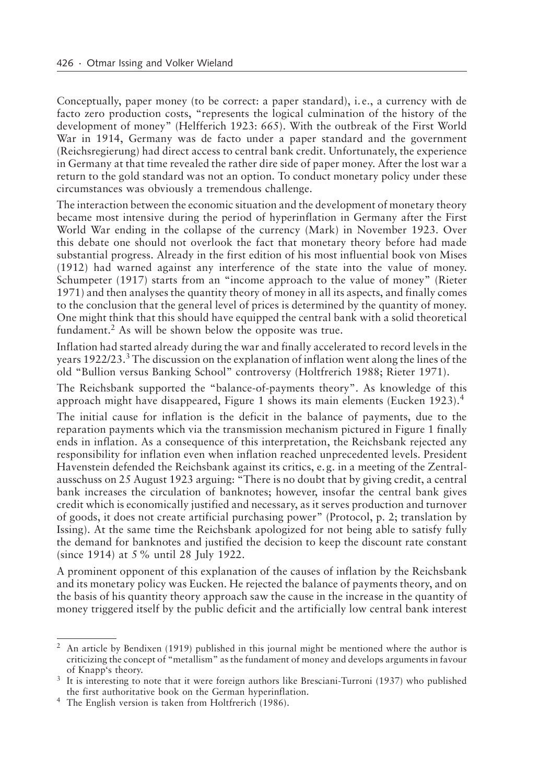Conceptually, paper money (to be correct: a paper standard), i. e., a currency with de facto zero production costs, "represents the logical culmination of the history of the development of money" (Helfferich 1923: 665). With the outbreak of the First World War in 1914, Germany was de facto under a paper standard and the government (Reichsregierung) had direct access to central bank credit. Unfortunately, the experience in Germany at that time revealed the rather dire side of paper money. After the lost war a return to the gold standard was not an option. To conduct monetary policy under these circumstances was obviously a tremendous challenge.

The interaction between the economic situation and the development of monetary theory became most intensive during the period of hyperinflation in Germany after the First World War ending in the collapse of the currency (Mark) in November 1923. Over this debate one should not overlook the fact that monetary theory before had made substantial progress. Already in the first edition of his most influential book von Mises (1912) had warned against any interference of the state into the value of money. Schumpeter (1917) starts from an "income approach to the value of money" (Rieter 1971) and then analyses the quantity theory of money in all its aspects, and finally comes to the conclusion that the general level of prices is determined by the quantity of money. One might think that this should have equipped the central bank with a solid theoretical fundament.<sup>2</sup> As will be shown below the opposite was true.

Inflation had started already during the war and finally accelerated to record levels in the years 1922/23.<sup>3</sup> The discussion on the explanation of inflation went along the lines of the old "Bullion versus Banking School" controversy (Holtfrerich 1988; Rieter 1971).

The Reichsbank supported the "balance-of-payments theory". As knowledge of this approach might have disappeared, Figure 1 shows its main elements (Eucken 1923).<sup>4</sup>

The initial cause for inflation is the deficit in the balance of payments, due to the reparation payments which via the transmission mechanism pictured in Figure 1 finally ends in inflation. As a consequence of this interpretation, the Reichsbank rejected any responsibility for inflation even when inflation reached unprecedented levels. President Havenstein defended the Reichsbank against its critics, e. g. in a meeting of the Zentralausschuss on 25 August 1923 arguing: "There is no doubt that by giving credit, a central bank increases the circulation of banknotes; however, insofar the central bank gives credit which is economically justified and necessary, as it serves production and turnover of goods, it does not create artificial purchasing power" (Protocol, p. 2; translation by Issing). At the same time the Reichsbank apologized for not being able to satisfy fully the demand for banknotes and justified the decision to keep the discount rate constant (since 1914) at 5 % until 28 July 1922.

A prominent opponent of this explanation of the causes of inflation by the Reichsbank and its monetary policy was Eucken. He rejected the balance of payments theory, and on the basis of his quantity theory approach saw the cause in the increase in the quantity of money triggered itself by the public deficit and the artificially low central bank interest

<sup>2</sup> An article by Bendixen (1919) published in this journal might be mentioned where the author is criticizing the concept of "metallism" as the fundament of money and develops arguments in favour of Knapp's theory.

It is interesting to note that it were foreign authors like Bresciani-Turroni (1937) who published the first authoritative book on the German hyperinflation.

The English version is taken from Holtfrerich (1986).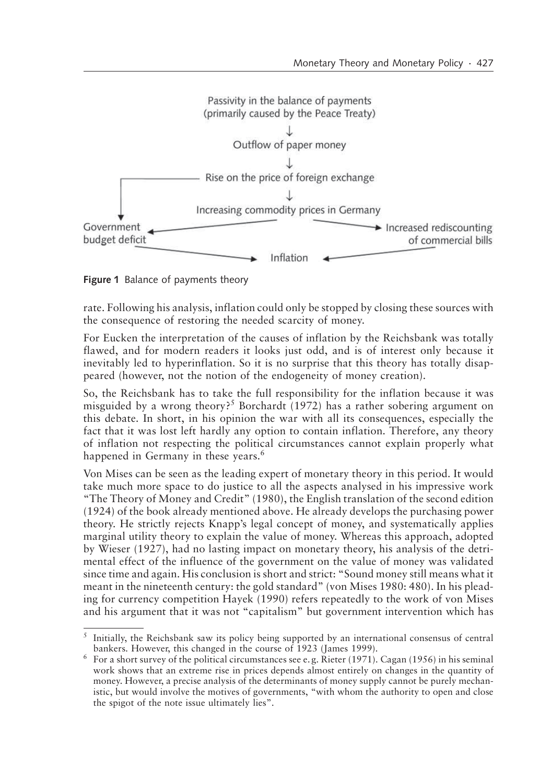

Figure 1 Balance of payments theory

rate. Following his analysis, inflation could only be stopped by closing these sources with the consequence of restoring the needed scarcity of money.

For Eucken the interpretation of the causes of inflation by the Reichsbank was totally flawed, and for modern readers it looks just odd, and is of interest only because it inevitably led to hyperinflation. So it is no surprise that this theory has totally disappeared (however, not the notion of the endogeneity of money creation).

So, the Reichsbank has to take the full responsibility for the inflation because it was misguided by a wrong theory?<sup>5</sup> Borchardt (1972) has a rather sobering argument on this debate. In short, in his opinion the war with all its consequences, especially the fact that it was lost left hardly any option to contain inflation. Therefore, any theory of inflation not respecting the political circumstances cannot explain properly what happened in Germany in these years.<sup>6</sup>

Von Mises can be seen as the leading expert of monetary theory in this period. It would take much more space to do justice to all the aspects analysed in his impressive work "The Theory of Money and Credit" (1980), the English translation of the second edition (1924) of the book already mentioned above. He already develops the purchasing power theory. He strictly rejects Knapp's legal concept of money, and systematically applies marginal utility theory to explain the value of money. Whereas this approach, adopted by Wieser (1927), had no lasting impact on monetary theory, his analysis of the detrimental effect of the influence of the government on the value of money was validated since time and again. His conclusion is short and strict: "Sound money still means what it meant in the nineteenth century: the gold standard" (von Mises 1980: 480). In his pleading for currency competition Hayek (1990) refers repeatedly to the work of von Mises and his argument that it was not "capitalism" but government intervention which has

 $<sup>5</sup>$  Initially, the Reichsbank saw its policy being supported by an international consensus of central</sup> bankers. However, this changed in the course of 1923 (James 1999).

<sup>6</sup> For a short survey of the political circumstances see e. g. Rieter (1971). Cagan (1956) in his seminal work shows that an extreme rise in prices depends almost entirely on changes in the quantity of money. However, a precise analysis of the determinants of money supply cannot be purely mechanistic, but would involve the motives of governments, "with whom the authority to open and close the spigot of the note issue ultimately lies".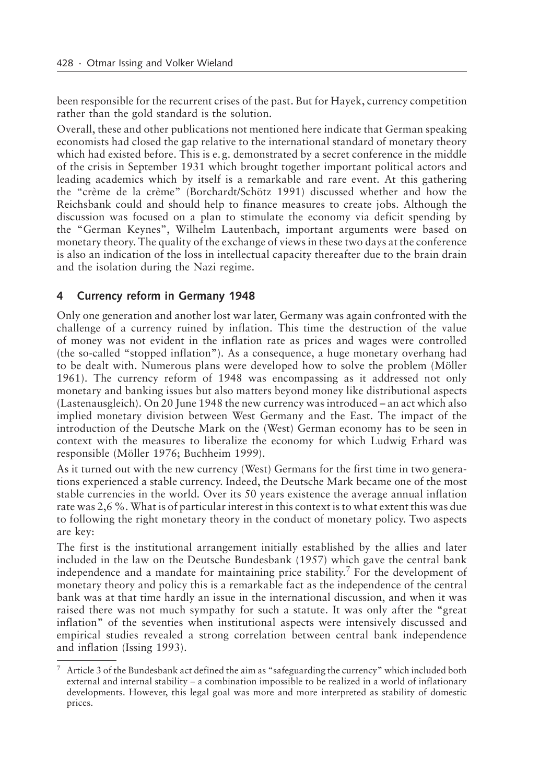been responsible for the recurrent crises of the past. But for Hayek, currency competition rather than the gold standard is the solution.

Overall, these and other publications not mentioned here indicate that German speaking economists had closed the gap relative to the international standard of monetary theory which had existed before. This is e.g. demonstrated by a secret conference in the middle of the crisis in September 1931 which brought together important political actors and leading academics which by itself is a remarkable and rare event. At this gathering the "crème de la crème" (Borchardt/Schötz 1991) discussed whether and how the Reichsbank could and should help to finance measures to create jobs. Although the discussion was focused on a plan to stimulate the economy via deficit spending by the "German Keynes", Wilhelm Lautenbach, important arguments were based on monetary theory. The quality of the exchange of views in these two days at the conference is also an indication of the loss in intellectual capacity thereafter due to the brain drain and the isolation during the Nazi regime.

## 4 Currency reform in Germany 1948

Only one generation and another lost war later, Germany was again confronted with the challenge of a currency ruined by inflation. This time the destruction of the value of money was not evident in the inflation rate as prices and wages were controlled (the so-called "stopped inflation"). As a consequence, a huge monetary overhang had to be dealt with. Numerous plans were developed how to solve the problem (Möller 1961). The currency reform of 1948 was encompassing as it addressed not only monetary and banking issues but also matters beyond money like distributional aspects (Lastenausgleich). On 20 June 1948 the new currency was introduced – an act which also implied monetary division between West Germany and the East. The impact of the introduction of the Deutsche Mark on the (West) German economy has to be seen in context with the measures to liberalize the economy for which Ludwig Erhard was responsible (Möller 1976; Buchheim 1999).

As it turned out with the new currency (West) Germans for the first time in two generations experienced a stable currency. Indeed, the Deutsche Mark became one of the most stable currencies in the world. Over its 50 years existence the average annual inflation rate was 2,6 %. What is of particular interest in this context is to what extent this was due to following the right monetary theory in the conduct of monetary policy. Two aspects are key:

The first is the institutional arrangement initially established by the allies and later included in the law on the Deutsche Bundesbank (1957) which gave the central bank independence and a mandate for maintaining price stability.<sup>7</sup> For the development of monetary theory and policy this is a remarkable fact as the independence of the central bank was at that time hardly an issue in the international discussion, and when it was raised there was not much sympathy for such a statute. It was only after the "great inflation" of the seventies when institutional aspects were intensively discussed and empirical studies revealed a strong correlation between central bank independence and inflation (Issing 1993).

<sup>7</sup> Article 3 of the Bundesbank act defined the aim as "safeguarding the currency" which included both external and internal stability – a combination impossible to be realized in a world of inflationary developments. However, this legal goal was more and more interpreted as stability of domestic prices.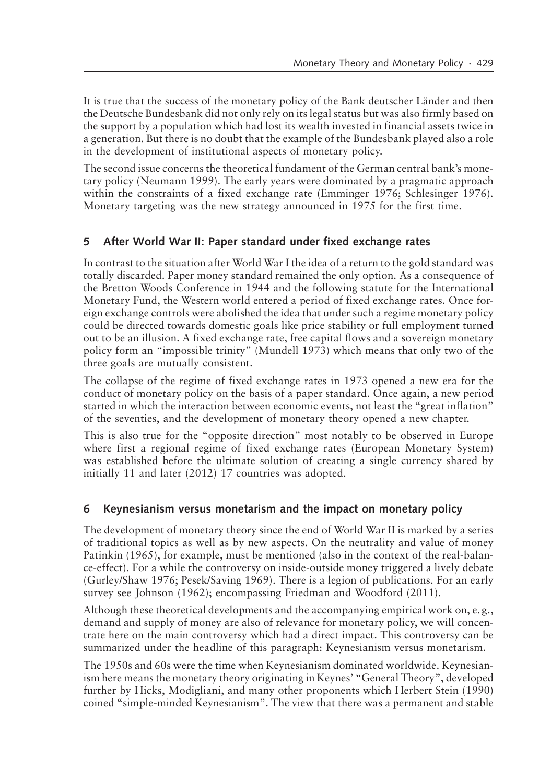It is true that the success of the monetary policy of the Bank deutscher Länder and then the Deutsche Bundesbank did not only rely on its legal status but was also firmly based on the support by a population which had lost its wealth invested in financial assets twice in a generation. But there is no doubt that the example of the Bundesbank played also a role in the development of institutional aspects of monetary policy.

The second issue concerns the theoretical fundament of the German central bank's monetary policy (Neumann 1999). The early years were dominated by a pragmatic approach within the constraints of a fixed exchange rate (Emminger 1976; Schlesinger 1976). Monetary targeting was the new strategy announced in 1975 for the first time.

## 5 After World War II: Paper standard under fixed exchange rates

In contrast to the situation after World War I the idea of a return to the gold standard was totally discarded. Paper money standard remained the only option. As a consequence of the Bretton Woods Conference in 1944 and the following statute for the International Monetary Fund, the Western world entered a period of fixed exchange rates. Once foreign exchange controls were abolished the idea that under such a regime monetary policy could be directed towards domestic goals like price stability or full employment turned out to be an illusion. A fixed exchange rate, free capital flows and a sovereign monetary policy form an "impossible trinity" (Mundell 1973) which means that only two of the three goals are mutually consistent.

The collapse of the regime of fixed exchange rates in 1973 opened a new era for the conduct of monetary policy on the basis of a paper standard. Once again, a new period started in which the interaction between economic events, not least the "great inflation" of the seventies, and the development of monetary theory opened a new chapter.

This is also true for the "opposite direction" most notably to be observed in Europe where first a regional regime of fixed exchange rates (European Monetary System) was established before the ultimate solution of creating a single currency shared by initially 11 and later (2012) 17 countries was adopted.

## 6 Keynesianism versus monetarism and the impact on monetary policy

The development of monetary theory since the end of World War II is marked by a series of traditional topics as well as by new aspects. On the neutrality and value of money Patinkin (1965), for example, must be mentioned (also in the context of the real-balance-effect). For a while the controversy on inside-outside money triggered a lively debate (Gurley/Shaw 1976; Pesek/Saving 1969). There is a legion of publications. For an early survey see Johnson (1962); encompassing Friedman and Woodford (2011).

Although these theoretical developments and the accompanying empirical work on, e. g., demand and supply of money are also of relevance for monetary policy, we will concentrate here on the main controversy which had a direct impact. This controversy can be summarized under the headline of this paragraph: Keynesianism versus monetarism.

The 1950s and 60s were the time when Keynesianism dominated worldwide. Keynesianism here means the monetary theory originating in Keynes' "General Theory", developed further by Hicks, Modigliani, and many other proponents which Herbert Stein (1990) coined "simple-minded Keynesianism". The view that there was a permanent and stable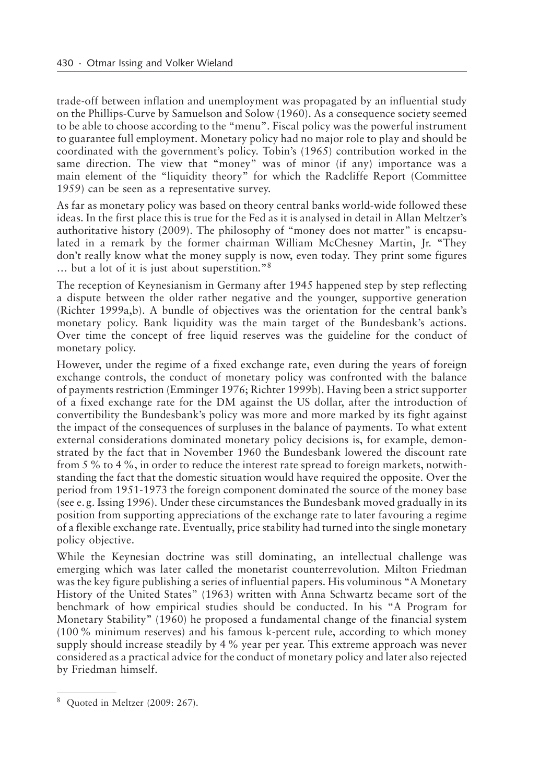trade-off between inflation and unemployment was propagated by an influential study on the Phillips-Curve by Samuelson and Solow (1960). As a consequence society seemed to be able to choose according to the "menu". Fiscal policy was the powerful instrument to guarantee full employment. Monetary policy had no major role to play and should be coordinated with the government's policy. Tobin's (1965) contribution worked in the same direction. The view that "money" was of minor (if any) importance was a main element of the "liquidity theory" for which the Radcliffe Report (Committee 1959) can be seen as a representative survey.

As far as monetary policy was based on theory central banks world-wide followed these ideas. In the first place this is true for the Fed as it is analysed in detail in Allan Meltzer's authoritative history (2009). The philosophy of "money does not matter" is encapsulated in a remark by the former chairman William McChesney Martin, Jr. "They don't really know what the money supply is now, even today. They print some figures … but a lot of it is just about superstition."<sup>8</sup>

The reception of Keynesianism in Germany after 1945 happened step by step reflecting a dispute between the older rather negative and the younger, supportive generation (Richter 1999a,b). A bundle of objectives was the orientation for the central bank's monetary policy. Bank liquidity was the main target of the Bundesbank's actions. Over time the concept of free liquid reserves was the guideline for the conduct of monetary policy.

However, under the regime of a fixed exchange rate, even during the years of foreign exchange controls, the conduct of monetary policy was confronted with the balance of payments restriction (Emminger 1976; Richter 1999b). Having been a strict supporter of a fixed exchange rate for the DM against the US dollar, after the introduction of convertibility the Bundesbank's policy was more and more marked by its fight against the impact of the consequences of surpluses in the balance of payments. To what extent external considerations dominated monetary policy decisions is, for example, demonstrated by the fact that in November 1960 the Bundesbank lowered the discount rate from 5 % to 4 %, in order to reduce the interest rate spread to foreign markets, notwithstanding the fact that the domestic situation would have required the opposite. Over the period from 1951-1973 the foreign component dominated the source of the money base (see e. g. Issing 1996). Under these circumstances the Bundesbank moved gradually in its position from supporting appreciations of the exchange rate to later favouring a regime of a flexible exchange rate. Eventually, price stability had turned into the single monetary policy objective.

While the Keynesian doctrine was still dominating, an intellectual challenge was emerging which was later called the monetarist counterrevolution. Milton Friedman was the key figure publishing a series of influential papers. His voluminous "A Monetary History of the United States" (1963) written with Anna Schwartz became sort of the benchmark of how empirical studies should be conducted. In his "A Program for Monetary Stability" (1960) he proposed a fundamental change of the financial system (100 % minimum reserves) and his famous k-percent rule, according to which money supply should increase steadily by 4 % year per year. This extreme approach was never considered as a practical advice for the conduct of monetary policy and later also rejected by Friedman himself.

<sup>8</sup> Quoted in Meltzer (2009: 267).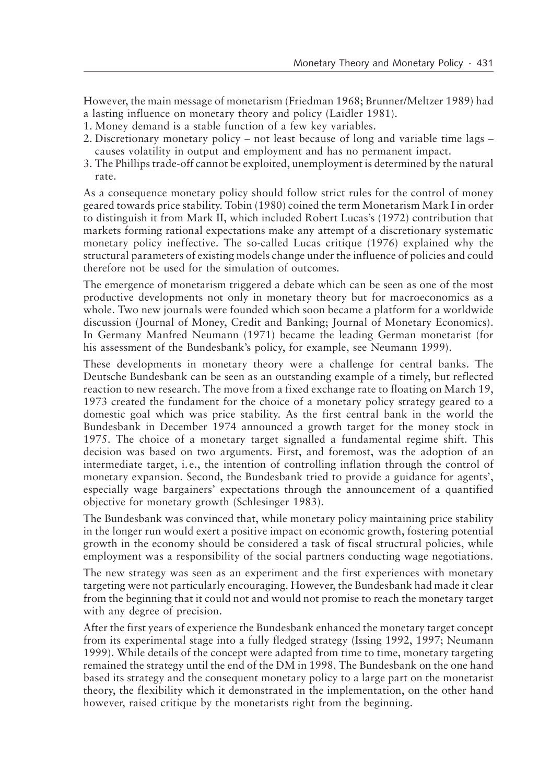However, the main message of monetarism (Friedman 1968; Brunner/Meltzer 1989) had a lasting influence on monetary theory and policy (Laidler 1981).

- 1. Money demand is a stable function of a few key variables.
- 2. Discretionary monetary policy not least because of long and variable time lags causes volatility in output and employment and has no permanent impact.
- 3. The Phillips trade-off cannot be exploited, unemployment is determined by the natural rate.

As a consequence monetary policy should follow strict rules for the control of money geared towards price stability. Tobin (1980) coined the term Monetarism Mark I in order to distinguish it from Mark II, which included Robert Lucas's (1972) contribution that markets forming rational expectations make any attempt of a discretionary systematic monetary policy ineffective. The so-called Lucas critique (1976) explained why the structural parameters of existing models change under the influence of policies and could therefore not be used for the simulation of outcomes.

The emergence of monetarism triggered a debate which can be seen as one of the most productive developments not only in monetary theory but for macroeconomics as a whole. Two new journals were founded which soon became a platform for a worldwide discussion (Journal of Money, Credit and Banking; Journal of Monetary Economics). In Germany Manfred Neumann (1971) became the leading German monetarist (for his assessment of the Bundesbank's policy, for example, see Neumann 1999).

These developments in monetary theory were a challenge for central banks. The Deutsche Bundesbank can be seen as an outstanding example of a timely, but reflected reaction to new research. The move from a fixed exchange rate to floating on March 19, 1973 created the fundament for the choice of a monetary policy strategy geared to a domestic goal which was price stability. As the first central bank in the world the Bundesbank in December 1974 announced a growth target for the money stock in 1975. The choice of a monetary target signalled a fundamental regime shift. This decision was based on two arguments. First, and foremost, was the adoption of an intermediate target, i. e., the intention of controlling inflation through the control of monetary expansion. Second, the Bundesbank tried to provide a guidance for agents', especially wage bargainers' expectations through the announcement of a quantified objective for monetary growth (Schlesinger 1983).

The Bundesbank was convinced that, while monetary policy maintaining price stability in the longer run would exert a positive impact on economic growth, fostering potential growth in the economy should be considered a task of fiscal structural policies, while employment was a responsibility of the social partners conducting wage negotiations.

The new strategy was seen as an experiment and the first experiences with monetary targeting were not particularly encouraging. However, the Bundesbank had made it clear from the beginning that it could not and would not promise to reach the monetary target with any degree of precision.

After the first years of experience the Bundesbank enhanced the monetary target concept from its experimental stage into a fully fledged strategy (Issing 1992, 1997; Neumann 1999). While details of the concept were adapted from time to time, monetary targeting remained the strategy until the end of the DM in 1998. The Bundesbank on the one hand based its strategy and the consequent monetary policy to a large part on the monetarist theory, the flexibility which it demonstrated in the implementation, on the other hand however, raised critique by the monetarists right from the beginning.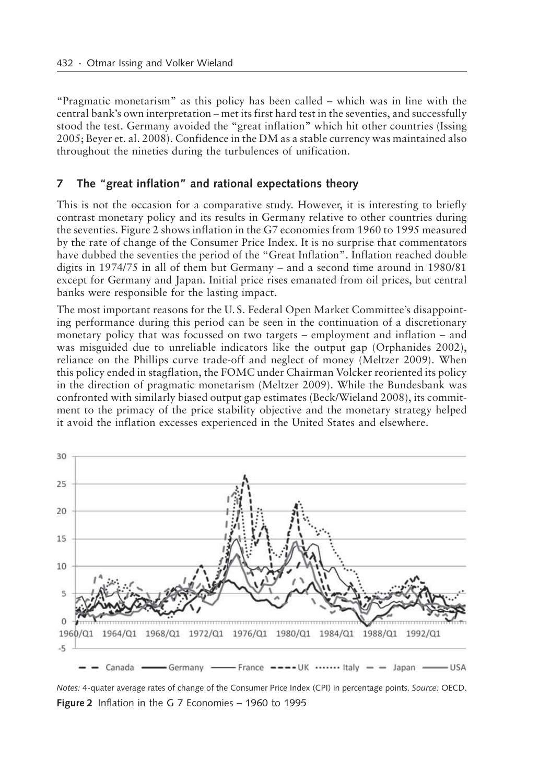"Pragmatic monetarism" as this policy has been called – which was in line with the central bank's own interpretation – met its first hard test in the seventies, and successfully stood the test. Germany avoided the "great inflation" which hit other countries (Issing 2005; Beyer et. al. 2008). Confidence in the DM as a stable currency was maintained also throughout the nineties during the turbulences of unification.

#### 7 The "great inflation" and rational expectations theory

This is not the occasion for a comparative study. However, it is interesting to briefly contrast monetary policy and its results in Germany relative to other countries during the seventies. Figure 2 shows inflation in the G7 economies from 1960 to 1995 measured by the rate of change of the Consumer Price Index. It is no surprise that commentators have dubbed the seventies the period of the "Great Inflation". Inflation reached double digits in 1974/75 in all of them but Germany – and a second time around in 1980/81 except for Germany and Japan. Initial price rises emanated from oil prices, but central banks were responsible for the lasting impact.

The most important reasons for the U. S. Federal Open Market Committee's disappointing performance during this period can be seen in the continuation of a discretionary monetary policy that was focussed on two targets – employment and inflation – and was misguided due to unreliable indicators like the output gap (Orphanides 2002), reliance on the Phillips curve trade-off and neglect of money (Meltzer 2009). When this policy ended in stagflation, the FOMC under Chairman Volcker reoriented its policy in the direction of pragmatic monetarism (Meltzer 2009). While the Bundesbank was confronted with similarly biased output gap estimates (Beck/Wieland 2008), its commitment to the primacy of the price stability objective and the monetary strategy helped it avoid the inflation excesses experienced in the United States and elsewhere.



Notes: 4-quater average rates of change of the Consumer Price Index (CPI) in percentage points. Source: OECD. Figure 2 Inflation in the G 7 Economies – 1960 to 1995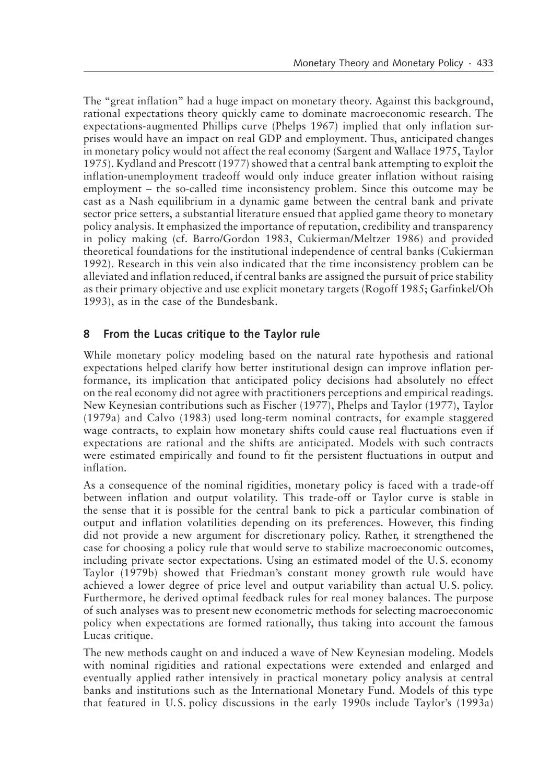The "great inflation" had a huge impact on monetary theory. Against this background, rational expectations theory quickly came to dominate macroeconomic research. The expectations-augmented Phillips curve (Phelps 1967) implied that only inflation surprises would have an impact on real GDP and employment. Thus, anticipated changes in monetary policy would not affect the real economy (Sargent and Wallace 1975, Taylor 1975). Kydland and Prescott (1977) showed that a central bank attempting to exploit the inflation-unemployment tradeoff would only induce greater inflation without raising employment – the so-called time inconsistency problem. Since this outcome may be cast as a Nash equilibrium in a dynamic game between the central bank and private sector price setters, a substantial literature ensued that applied game theory to monetary policy analysis. It emphasized the importance of reputation, credibility and transparency in policy making (cf. Barro/Gordon 1983, Cukierman/Meltzer 1986) and provided theoretical foundations for the institutional independence of central banks (Cukierman 1992). Research in this vein also indicated that the time inconsistency problem can be alleviated and inflation reduced, if central banks are assigned the pursuit of price stability as their primary objective and use explicit monetary targets (Rogoff 1985; Garfinkel/Oh 1993), as in the case of the Bundesbank.

## 8 From the Lucas critique to the Taylor rule

While monetary policy modeling based on the natural rate hypothesis and rational expectations helped clarify how better institutional design can improve inflation performance, its implication that anticipated policy decisions had absolutely no effect on the real economy did not agree with practitioners perceptions and empirical readings. New Keynesian contributions such as Fischer (1977), Phelps and Taylor (1977), Taylor (1979a) and Calvo (1983) used long-term nominal contracts, for example staggered wage contracts, to explain how monetary shifts could cause real fluctuations even if expectations are rational and the shifts are anticipated. Models with such contracts were estimated empirically and found to fit the persistent fluctuations in output and inflation.

As a consequence of the nominal rigidities, monetary policy is faced with a trade-off between inflation and output volatility. This trade-off or Taylor curve is stable in the sense that it is possible for the central bank to pick a particular combination of output and inflation volatilities depending on its preferences. However, this finding did not provide a new argument for discretionary policy. Rather, it strengthened the case for choosing a policy rule that would serve to stabilize macroeconomic outcomes, including private sector expectations. Using an estimated model of the U. S. economy Taylor (1979b) showed that Friedman's constant money growth rule would have achieved a lower degree of price level and output variability than actual U. S. policy. Furthermore, he derived optimal feedback rules for real money balances. The purpose of such analyses was to present new econometric methods for selecting macroeconomic policy when expectations are formed rationally, thus taking into account the famous Lucas critique.

The new methods caught on and induced a wave of New Keynesian modeling. Models with nominal rigidities and rational expectations were extended and enlarged and eventually applied rather intensively in practical monetary policy analysis at central banks and institutions such as the International Monetary Fund. Models of this type that featured in U. S. policy discussions in the early 1990s include Taylor's (1993a)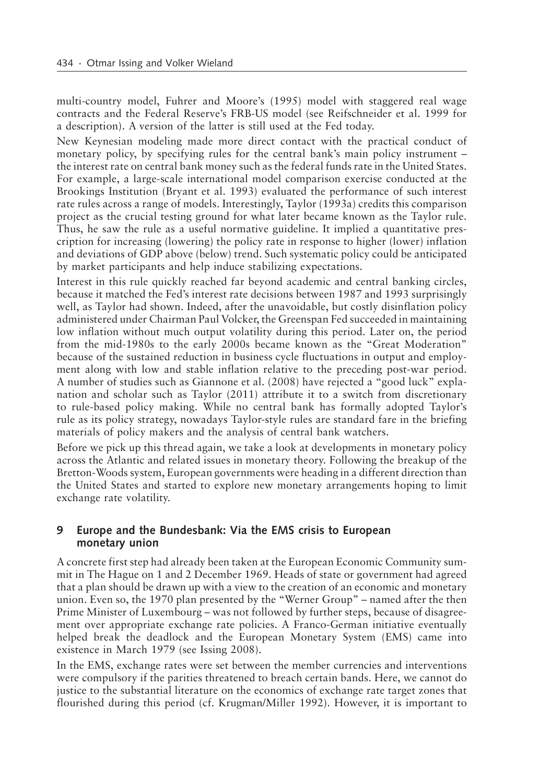multi-country model, Fuhrer and Moore's (1995) model with staggered real wage contracts and the Federal Reserve's FRB-US model (see Reifschneider et al. 1999 for a description). A version of the latter is still used at the Fed today.

New Keynesian modeling made more direct contact with the practical conduct of monetary policy, by specifying rules for the central bank's main policy instrument – the interest rate on central bank money such as the federal funds rate in the United States. For example, a large-scale international model comparison exercise conducted at the Brookings Institution (Bryant et al. 1993) evaluated the performance of such interest rate rules across a range of models. Interestingly, Taylor (1993a) credits this comparison project as the crucial testing ground for what later became known as the Taylor rule. Thus, he saw the rule as a useful normative guideline. It implied a quantitative prescription for increasing (lowering) the policy rate in response to higher (lower) inflation and deviations of GDP above (below) trend. Such systematic policy could be anticipated by market participants and help induce stabilizing expectations.

Interest in this rule quickly reached far beyond academic and central banking circles, because it matched the Fed's interest rate decisions between 1987 and 1993 surprisingly well, as Taylor had shown. Indeed, after the unavoidable, but costly disinflation policy administered under Chairman Paul Volcker, the Greenspan Fed succeeded in maintaining low inflation without much output volatility during this period. Later on, the period from the mid-1980s to the early 2000s became known as the "Great Moderation" because of the sustained reduction in business cycle fluctuations in output and employment along with low and stable inflation relative to the preceding post-war period. A number of studies such as Giannone et al. (2008) have rejected a "good luck" explanation and scholar such as Taylor (2011) attribute it to a switch from discretionary to rule-based policy making. While no central bank has formally adopted Taylor's rule as its policy strategy, nowadays Taylor-style rules are standard fare in the briefing materials of policy makers and the analysis of central bank watchers.

Before we pick up this thread again, we take a look at developments in monetary policy across the Atlantic and related issues in monetary theory. Following the breakup of the Bretton-Woods system, European governments were heading in a different direction than the United States and started to explore new monetary arrangements hoping to limit exchange rate volatility.

#### 9 Europe and the Bundesbank: Via the EMS crisis to European monetary union

A concrete first step had already been taken at the European Economic Community summit in The Hague on 1 and 2 December 1969. Heads of state or government had agreed that a plan should be drawn up with a view to the creation of an economic and monetary union. Even so, the 1970 plan presented by the "Werner Group" – named after the then Prime Minister of Luxembourg – was not followed by further steps, because of disagreement over appropriate exchange rate policies. A Franco-German initiative eventually helped break the deadlock and the European Monetary System (EMS) came into existence in March 1979 (see Issing 2008).

In the EMS, exchange rates were set between the member currencies and interventions were compulsory if the parities threatened to breach certain bands. Here, we cannot do justice to the substantial literature on the economics of exchange rate target zones that flourished during this period (cf. Krugman/Miller 1992). However, it is important to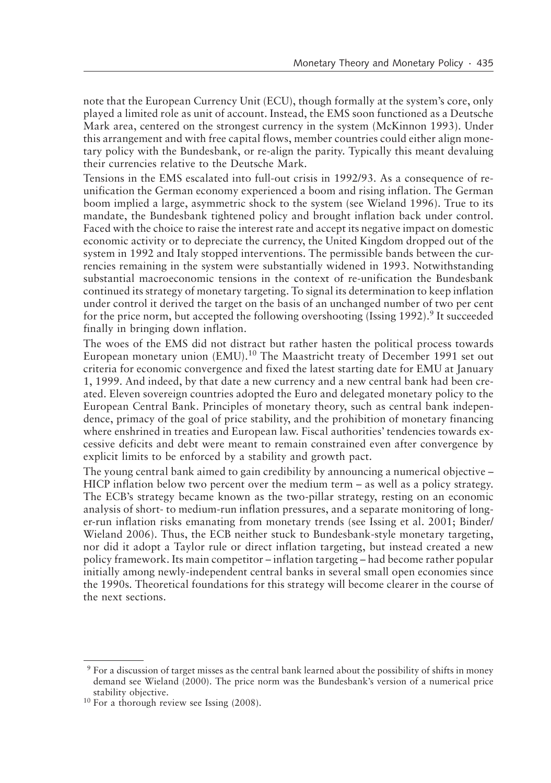note that the European Currency Unit (ECU), though formally at the system's core, only played a limited role as unit of account. Instead, the EMS soon functioned as a Deutsche Mark area, centered on the strongest currency in the system (McKinnon 1993). Under this arrangement and with free capital flows, member countries could either align monetary policy with the Bundesbank, or re-align the parity. Typically this meant devaluing their currencies relative to the Deutsche Mark.

Tensions in the EMS escalated into full-out crisis in 1992/93. As a consequence of reunification the German economy experienced a boom and rising inflation. The German boom implied a large, asymmetric shock to the system (see Wieland 1996). True to its mandate, the Bundesbank tightened policy and brought inflation back under control. Faced with the choice to raise the interest rate and accept its negative impact on domestic economic activity or to depreciate the currency, the United Kingdom dropped out of the system in 1992 and Italy stopped interventions. The permissible bands between the currencies remaining in the system were substantially widened in 1993. Notwithstanding substantial macroeconomic tensions in the context of re-unification the Bundesbank continued its strategy of monetary targeting. To signal its determination to keep inflation under control it derived the target on the basis of an unchanged number of two per cent for the price norm, but accepted the following overshooting (Issing  $1992$ ).<sup>9</sup> It succeeded finally in bringing down inflation.

The woes of the EMS did not distract but rather hasten the political process towards European monetary union (EMU).<sup>10</sup> The Maastricht treaty of December 1991 set out criteria for economic convergence and fixed the latest starting date for EMU at January 1, 1999. And indeed, by that date a new currency and a new central bank had been created. Eleven sovereign countries adopted the Euro and delegated monetary policy to the European Central Bank. Principles of monetary theory, such as central bank independence, primacy of the goal of price stability, and the prohibition of monetary financing where enshrined in treaties and European law. Fiscal authorities' tendencies towards excessive deficits and debt were meant to remain constrained even after convergence by explicit limits to be enforced by a stability and growth pact.

The young central bank aimed to gain credibility by announcing a numerical objective – HICP inflation below two percent over the medium term – as well as a policy strategy. The ECB's strategy became known as the two-pillar strategy, resting on an economic analysis of short- to medium-run inflation pressures, and a separate monitoring of longer-run inflation risks emanating from monetary trends (see Issing et al. 2001; Binder/ Wieland 2006). Thus, the ECB neither stuck to Bundesbank-style monetary targeting, nor did it adopt a Taylor rule or direct inflation targeting, but instead created a new policy framework. Its main competitor – inflation targeting – had become rather popular initially among newly-independent central banks in several small open economies since the 1990s. Theoretical foundations for this strategy will become clearer in the course of the next sections.

<sup>9</sup> For a discussion of target misses as the central bank learned about the possibility of shifts in money demand see Wieland (2000). The price norm was the Bundesbank's version of a numerical price stability objective.

<sup>&</sup>lt;sup>10</sup> For a thorough review see Issing (2008).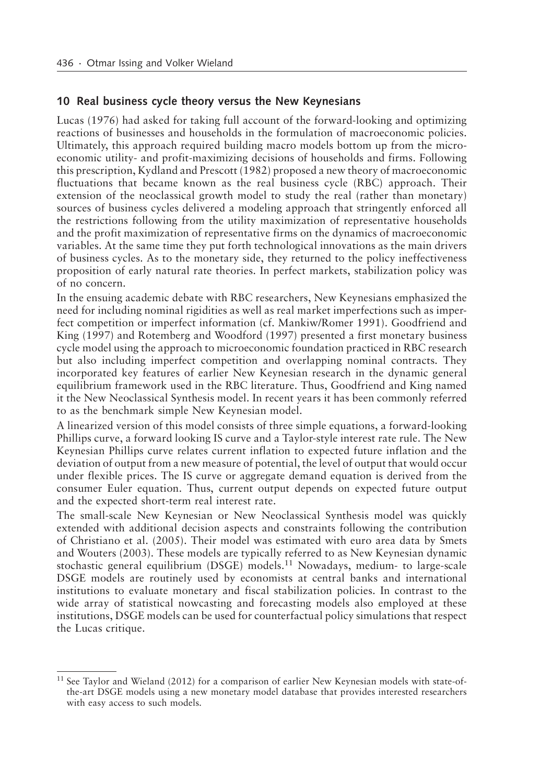#### 10 Real business cycle theory versus the New Keynesians

Lucas (1976) had asked for taking full account of the forward-looking and optimizing reactions of businesses and households in the formulation of macroeconomic policies. Ultimately, this approach required building macro models bottom up from the microeconomic utility- and profit-maximizing decisions of households and firms. Following this prescription, Kydland and Prescott (1982) proposed a new theory of macroeconomic fluctuations that became known as the real business cycle (RBC) approach. Their extension of the neoclassical growth model to study the real (rather than monetary) sources of business cycles delivered a modeling approach that stringently enforced all the restrictions following from the utility maximization of representative households and the profit maximization of representative firms on the dynamics of macroeconomic variables. At the same time they put forth technological innovations as the main drivers of business cycles. As to the monetary side, they returned to the policy ineffectiveness proposition of early natural rate theories. In perfect markets, stabilization policy was of no concern.

In the ensuing academic debate with RBC researchers, New Keynesians emphasized the need for including nominal rigidities as well as real market imperfections such as imperfect competition or imperfect information (cf. Mankiw/Romer 1991). Goodfriend and King (1997) and Rotemberg and Woodford (1997) presented a first monetary business cycle model using the approach to microeconomic foundation practiced in RBC research but also including imperfect competition and overlapping nominal contracts. They incorporated key features of earlier New Keynesian research in the dynamic general equilibrium framework used in the RBC literature. Thus, Goodfriend and King named it the New Neoclassical Synthesis model. In recent years it has been commonly referred to as the benchmark simple New Keynesian model.

A linearized version of this model consists of three simple equations, a forward-looking Phillips curve, a forward looking IS curve and a Taylor-style interest rate rule. The New Keynesian Phillips curve relates current inflation to expected future inflation and the deviation of output from a new measure of potential, the level of output that would occur under flexible prices. The IS curve or aggregate demand equation is derived from the consumer Euler equation. Thus, current output depends on expected future output and the expected short-term real interest rate.

The small-scale New Keynesian or New Neoclassical Synthesis model was quickly extended with additional decision aspects and constraints following the contribution of Christiano et al. (2005). Their model was estimated with euro area data by Smets and Wouters (2003). These models are typically referred to as New Keynesian dynamic stochastic general equilibrium (DSGE) models.<sup>11</sup> Nowadays, medium- to large-scale DSGE models are routinely used by economists at central banks and international institutions to evaluate monetary and fiscal stabilization policies. In contrast to the wide array of statistical nowcasting and forecasting models also employed at these institutions, DSGE models can be used for counterfactual policy simulations that respect the Lucas critique.

<sup>&</sup>lt;sup>11</sup> See Taylor and Wieland (2012) for a comparison of earlier New Keynesian models with state-ofthe-art DSGE models using a new monetary model database that provides interested researchers with easy access to such models.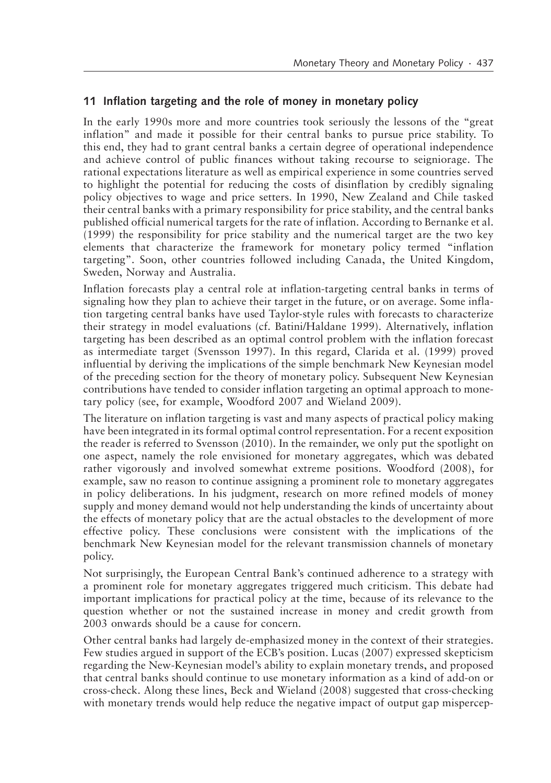## 11 Inflation targeting and the role of money in monetary policy

In the early 1990s more and more countries took seriously the lessons of the "great inflation" and made it possible for their central banks to pursue price stability. To this end, they had to grant central banks a certain degree of operational independence and achieve control of public finances without taking recourse to seigniorage. The rational expectations literature as well as empirical experience in some countries served to highlight the potential for reducing the costs of disinflation by credibly signaling policy objectives to wage and price setters. In 1990, New Zealand and Chile tasked their central banks with a primary responsibility for price stability, and the central banks published official numerical targets for the rate of inflation. According to Bernanke et al. (1999) the responsibility for price stability and the numerical target are the two key elements that characterize the framework for monetary policy termed "inflation targeting". Soon, other countries followed including Canada, the United Kingdom, Sweden, Norway and Australia.

Inflation forecasts play a central role at inflation-targeting central banks in terms of signaling how they plan to achieve their target in the future, or on average. Some inflation targeting central banks have used Taylor-style rules with forecasts to characterize their strategy in model evaluations (cf. Batini/Haldane 1999). Alternatively, inflation targeting has been described as an optimal control problem with the inflation forecast as intermediate target (Svensson 1997). In this regard, Clarida et al. (1999) proved influential by deriving the implications of the simple benchmark New Keynesian model of the preceding section for the theory of monetary policy. Subsequent New Keynesian contributions have tended to consider inflation targeting an optimal approach to monetary policy (see, for example, Woodford 2007 and Wieland 2009).

The literature on inflation targeting is vast and many aspects of practical policy making have been integrated in its formal optimal control representation. For a recent exposition the reader is referred to Svensson (2010). In the remainder, we only put the spotlight on one aspect, namely the role envisioned for monetary aggregates, which was debated rather vigorously and involved somewhat extreme positions. Woodford (2008), for example, saw no reason to continue assigning a prominent role to monetary aggregates in policy deliberations. In his judgment, research on more refined models of money supply and money demand would not help understanding the kinds of uncertainty about the effects of monetary policy that are the actual obstacles to the development of more effective policy. These conclusions were consistent with the implications of the benchmark New Keynesian model for the relevant transmission channels of monetary policy.

Not surprisingly, the European Central Bank's continued adherence to a strategy with a prominent role for monetary aggregates triggered much criticism. This debate had important implications for practical policy at the time, because of its relevance to the question whether or not the sustained increase in money and credit growth from 2003 onwards should be a cause for concern.

Other central banks had largely de-emphasized money in the context of their strategies. Few studies argued in support of the ECB's position. Lucas (2007) expressed skepticism regarding the New-Keynesian model's ability to explain monetary trends, and proposed that central banks should continue to use monetary information as a kind of add-on or cross-check. Along these lines, Beck and Wieland (2008) suggested that cross-checking with monetary trends would help reduce the negative impact of output gap mispercep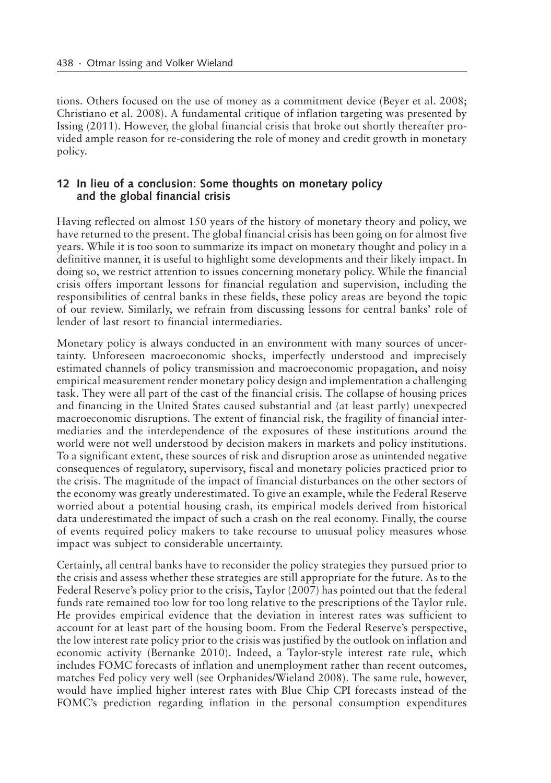tions. Others focused on the use of money as a commitment device (Beyer et al. 2008; Christiano et al. 2008). A fundamental critique of inflation targeting was presented by Issing (2011). However, the global financial crisis that broke out shortly thereafter provided ample reason for re-considering the role of money and credit growth in monetary policy.

#### 12 In lieu of a conclusion: Some thoughts on monetary policy and the global financial crisis

Having reflected on almost 150 years of the history of monetary theory and policy, we have returned to the present. The global financial crisis has been going on for almost five years. While it is too soon to summarize its impact on monetary thought and policy in a definitive manner, it is useful to highlight some developments and their likely impact. In doing so, we restrict attention to issues concerning monetary policy. While the financial crisis offers important lessons for financial regulation and supervision, including the responsibilities of central banks in these fields, these policy areas are beyond the topic of our review. Similarly, we refrain from discussing lessons for central banks' role of lender of last resort to financial intermediaries.

Monetary policy is always conducted in an environment with many sources of uncertainty. Unforeseen macroeconomic shocks, imperfectly understood and imprecisely estimated channels of policy transmission and macroeconomic propagation, and noisy empirical measurement render monetary policy design and implementation a challenging task. They were all part of the cast of the financial crisis. The collapse of housing prices and financing in the United States caused substantial and (at least partly) unexpected macroeconomic disruptions. The extent of financial risk, the fragility of financial intermediaries and the interdependence of the exposures of these institutions around the world were not well understood by decision makers in markets and policy institutions. To a significant extent, these sources of risk and disruption arose as unintended negative consequences of regulatory, supervisory, fiscal and monetary policies practiced prior to the crisis. The magnitude of the impact of financial disturbances on the other sectors of the economy was greatly underestimated. To give an example, while the Federal Reserve worried about a potential housing crash, its empirical models derived from historical data underestimated the impact of such a crash on the real economy. Finally, the course of events required policy makers to take recourse to unusual policy measures whose impact was subject to considerable uncertainty.

Certainly, all central banks have to reconsider the policy strategies they pursued prior to the crisis and assess whether these strategies are still appropriate for the future. As to the Federal Reserve's policy prior to the crisis, Taylor (2007) has pointed out that the federal funds rate remained too low for too long relative to the prescriptions of the Taylor rule. He provides empirical evidence that the deviation in interest rates was sufficient to account for at least part of the housing boom. From the Federal Reserve's perspective, the low interest rate policy prior to the crisis was justified by the outlook on inflation and economic activity (Bernanke 2010). Indeed, a Taylor-style interest rate rule, which includes FOMC forecasts of inflation and unemployment rather than recent outcomes, matches Fed policy very well (see Orphanides/Wieland 2008). The same rule, however, would have implied higher interest rates with Blue Chip CPI forecasts instead of the FOMC's prediction regarding inflation in the personal consumption expenditures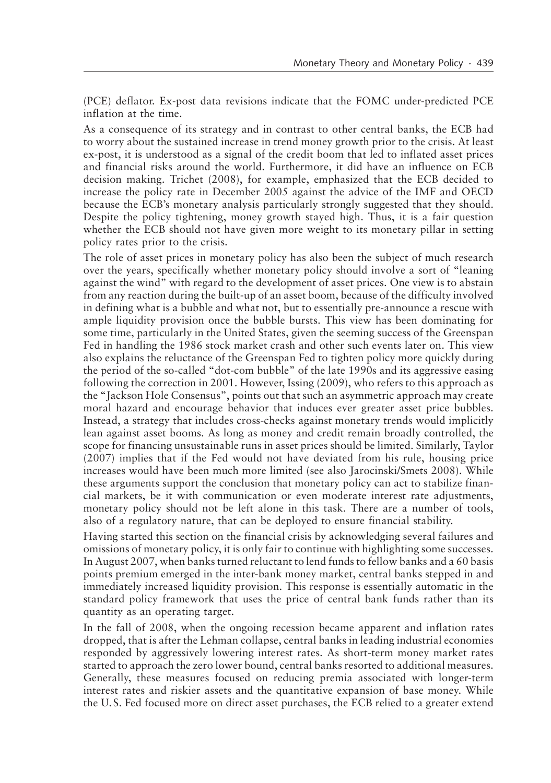(PCE) deflator. Ex-post data revisions indicate that the FOMC under-predicted PCE inflation at the time.

As a consequence of its strategy and in contrast to other central banks, the ECB had to worry about the sustained increase in trend money growth prior to the crisis. At least ex-post, it is understood as a signal of the credit boom that led to inflated asset prices and financial risks around the world. Furthermore, it did have an influence on ECB decision making. Trichet (2008), for example, emphasized that the ECB decided to increase the policy rate in December 2005 against the advice of the IMF and OECD because the ECB's monetary analysis particularly strongly suggested that they should. Despite the policy tightening, money growth stayed high. Thus, it is a fair question whether the ECB should not have given more weight to its monetary pillar in setting policy rates prior to the crisis.

The role of asset prices in monetary policy has also been the subject of much research over the years, specifically whether monetary policy should involve a sort of "leaning against the wind" with regard to the development of asset prices. One view is to abstain from any reaction during the built-up of an asset boom, because of the difficulty involved in defining what is a bubble and what not, but to essentially pre-announce a rescue with ample liquidity provision once the bubble bursts. This view has been dominating for some time, particularly in the United States, given the seeming success of the Greenspan Fed in handling the 1986 stock market crash and other such events later on. This view also explains the reluctance of the Greenspan Fed to tighten policy more quickly during the period of the so-called "dot-com bubble" of the late 1990s and its aggressive easing following the correction in 2001. However, Issing (2009), who refers to this approach as the "Jackson Hole Consensus", points out that such an asymmetric approach may create moral hazard and encourage behavior that induces ever greater asset price bubbles. Instead, a strategy that includes cross-checks against monetary trends would implicitly lean against asset booms. As long as money and credit remain broadly controlled, the scope for financing unsustainable runs in asset prices should be limited. Similarly, Taylor (2007) implies that if the Fed would not have deviated from his rule, housing price increases would have been much more limited (see also Jarocinski/Smets 2008). While these arguments support the conclusion that monetary policy can act to stabilize financial markets, be it with communication or even moderate interest rate adjustments, monetary policy should not be left alone in this task. There are a number of tools, also of a regulatory nature, that can be deployed to ensure financial stability.

Having started this section on the financial crisis by acknowledging several failures and omissions of monetary policy, it is only fair to continue with highlighting some successes. In August 2007, when banks turned reluctant to lend funds to fellow banks and a 60 basis points premium emerged in the inter-bank money market, central banks stepped in and immediately increased liquidity provision. This response is essentially automatic in the standard policy framework that uses the price of central bank funds rather than its quantity as an operating target.

In the fall of 2008, when the ongoing recession became apparent and inflation rates dropped, that is after the Lehman collapse, central banks in leading industrial economies responded by aggressively lowering interest rates. As short-term money market rates started to approach the zero lower bound, central banks resorted to additional measures. Generally, these measures focused on reducing premia associated with longer-term interest rates and riskier assets and the quantitative expansion of base money. While the U. S. Fed focused more on direct asset purchases, the ECB relied to a greater extend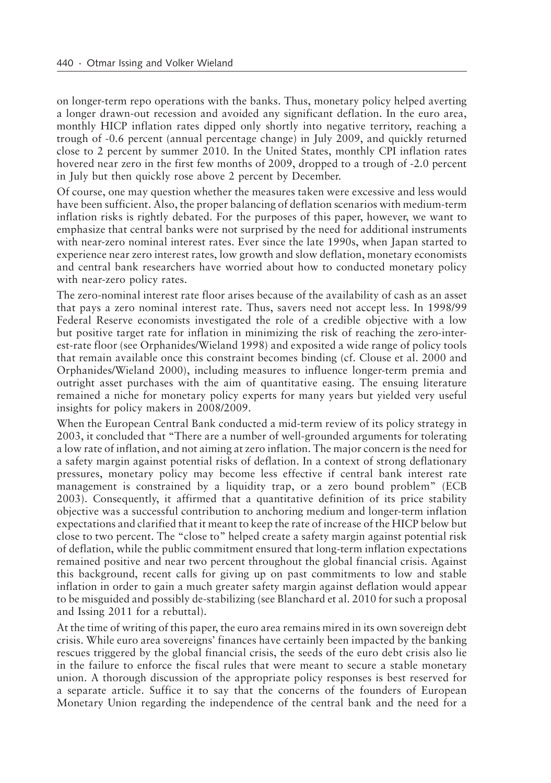on longer-term repo operations with the banks. Thus, monetary policy helped averting a longer drawn-out recession and avoided any significant deflation. In the euro area, monthly HICP inflation rates dipped only shortly into negative territory, reaching a trough of -0.6 percent (annual percentage change) in July 2009, and quickly returned close to 2 percent by summer 2010. In the United States, monthly CPI inflation rates hovered near zero in the first few months of 2009, dropped to a trough of -2.0 percent in July but then quickly rose above 2 percent by December.

Of course, one may question whether the measures taken were excessive and less would have been sufficient. Also, the proper balancing of deflation scenarios with medium-term inflation risks is rightly debated. For the purposes of this paper, however, we want to emphasize that central banks were not surprised by the need for additional instruments with near-zero nominal interest rates. Ever since the late 1990s, when Japan started to experience near zero interest rates, low growth and slow deflation, monetary economists and central bank researchers have worried about how to conducted monetary policy with near-zero policy rates.

The zero-nominal interest rate floor arises because of the availability of cash as an asset that pays a zero nominal interest rate. Thus, savers need not accept less. In 1998/99 Federal Reserve economists investigated the role of a credible objective with a low but positive target rate for inflation in minimizing the risk of reaching the zero-interest-rate floor (see Orphanides/Wieland 1998) and exposited a wide range of policy tools that remain available once this constraint becomes binding (cf. Clouse et al. 2000 and Orphanides/Wieland 2000), including measures to influence longer-term premia and outright asset purchases with the aim of quantitative easing. The ensuing literature remained a niche for monetary policy experts for many years but yielded very useful insights for policy makers in 2008/2009.

When the European Central Bank conducted a mid-term review of its policy strategy in 2003, it concluded that "There are a number of well-grounded arguments for tolerating a low rate of inflation, and not aiming at zero inflation. The major concern is the need for a safety margin against potential risks of deflation. In a context of strong deflationary pressures, monetary policy may become less effective if central bank interest rate management is constrained by a liquidity trap, or a zero bound problem" (ECB 2003). Consequently, it affirmed that a quantitative definition of its price stability objective was a successful contribution to anchoring medium and longer-term inflation expectations and clarified that it meant to keep the rate of increase of the HICP below but close to two percent. The "close to" helped create a safety margin against potential risk of deflation, while the public commitment ensured that long-term inflation expectations remained positive and near two percent throughout the global financial crisis. Against this background, recent calls for giving up on past commitments to low and stable inflation in order to gain a much greater safety margin against deflation would appear to be misguided and possibly de-stabilizing (see Blanchard et al. 2010 for such a proposal and Issing 2011 for a rebuttal).

At the time of writing of this paper, the euro area remains mired in its own sovereign debt crisis. While euro area sovereigns' finances have certainly been impacted by the banking rescues triggered by the global financial crisis, the seeds of the euro debt crisis also lie in the failure to enforce the fiscal rules that were meant to secure a stable monetary union. A thorough discussion of the appropriate policy responses is best reserved for a separate article. Suffice it to say that the concerns of the founders of European Monetary Union regarding the independence of the central bank and the need for a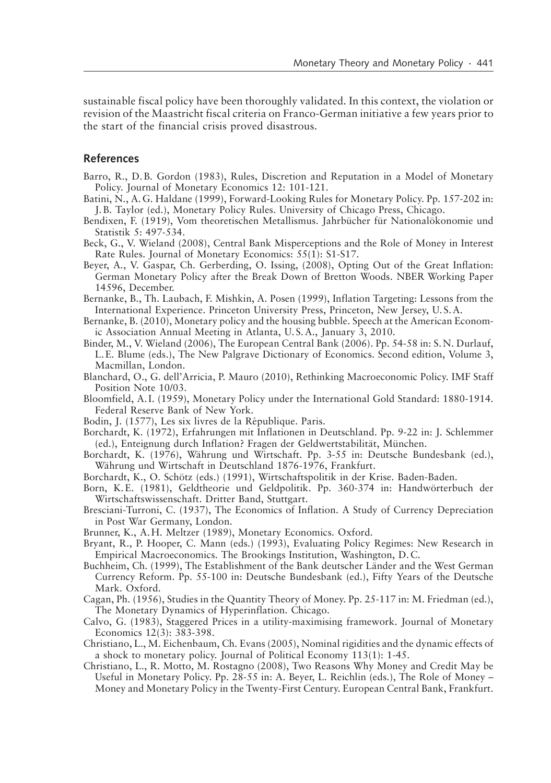sustainable fiscal policy have been thoroughly validated. In this context, the violation or revision of the Maastricht fiscal criteria on Franco-German initiative a few years prior to the start of the financial crisis proved disastrous.

#### References

- Barro, R., D. B. Gordon (1983), Rules, Discretion and Reputation in a Model of Monetary Policy. Journal of Monetary Economics 12: 101-121.
- Batini, N., A. G. Haldane (1999), Forward-Looking Rules for Monetary Policy. Pp. 157-202 in: J. B. Taylor (ed.), Monetary Policy Rules. University of Chicago Press, Chicago.
- Bendixen, F. (1919), Vom theoretischen Metallismus. Jahrbücher für Nationalökonomie und Statistik 5: 497-534.
- Beck, G., V. Wieland (2008), Central Bank Misperceptions and the Role of Money in Interest Rate Rules. Journal of Monetary Economics: 55(1): S1-S17.
- Beyer, A., V. Gaspar, Ch. Gerberding, O. Issing, (2008), Opting Out of the Great Inflation: German Monetary Policy after the Break Down of Bretton Woods. NBER Working Paper 14596, December.
- Bernanke, B., Th. Laubach, F. Mishkin, A. Posen (1999), Inflation Targeting: Lessons from the International Experience. Princeton University Press, Princeton, New Jersey, U. S. A.
- Bernanke, B. (2010), Monetary policy and the housing bubble. Speech at the American Economic Association Annual Meeting in Atlanta, U. S. A., January 3, 2010.
- Binder, M., V. Wieland (2006), The European Central Bank (2006). Pp. 54-58 in: S.N. Durlauf, L. E. Blume (eds.), The New Palgrave Dictionary of Economics. Second edition, Volume 3, Macmillan, London.
- Blanchard, O., G. dell'Arricia, P. Mauro (2010), Rethinking Macroeconomic Policy. IMF Staff Position Note 10/03.
- Bloomfield, A. I. (1959), Monetary Policy under the International Gold Standard: 1880-1914. Federal Reserve Bank of New York.
- Bodin, J. (1577), Les six livres de la République. Paris.
- Borchardt, K. (1972), Erfahrungen mit Inflationen in Deutschland. Pp. 9-22 in: J. Schlemmer (ed.), Enteignung durch Inflation? Fragen der Geldwertstabilität, München.
- Borchardt, K. (1976), Währung und Wirtschaft. Pp. 3-55 in: Deutsche Bundesbank (ed.), Währung und Wirtschaft in Deutschland 1876-1976, Frankfurt.
- Borchardt, K., O. Schötz (eds.) (1991), Wirtschaftspolitik in der Krise. Baden-Baden.
- Born, K.E. (1981), Geldtheorie und Geldpolitik. Pp. 360-374 in: Handwörterbuch der Wirtschaftswissenschaft. Dritter Band, Stuttgart.
- Bresciani-Turroni, C. (1937), The Economics of Inflation. A Study of Currency Depreciation in Post War Germany, London.
- Brunner, K., A.H. Meltzer (1989), Monetary Economics. Oxford.
- Bryant, R., P. Hooper, C. Mann (eds.) (1993), Evaluating Policy Regimes: New Research in Empirical Macroeconomics. The Brookings Institution, Washington, D. C.
- Buchheim, Ch. (1999), The Establishment of the Bank deutscher Länder and the West German Currency Reform. Pp. 55-100 in: Deutsche Bundesbank (ed.), Fifty Years of the Deutsche Mark. Oxford.
- Cagan, Ph. (1956), Studies in the Quantity Theory of Money. Pp. 25-117 in: M. Friedman (ed.), The Monetary Dynamics of Hyperinflation. Chicago.
- Calvo, G. (1983), Staggered Prices in a utility-maximising framework. Journal of Monetary Economics 12(3): 383-398.
- Christiano, L., M. Eichenbaum, Ch. Evans (2005), Nominal rigidities and the dynamic effects of a shock to monetary policy. Journal of Political Economy 113(1): 1-45.
- Christiano, L., R. Motto, M. Rostagno (2008), Two Reasons Why Money and Credit May be Useful in Monetary Policy. Pp. 28-55 in: A. Beyer, L. Reichlin (eds.), The Role of Money – Money and Monetary Policy in the Twenty-First Century. European Central Bank, Frankfurt.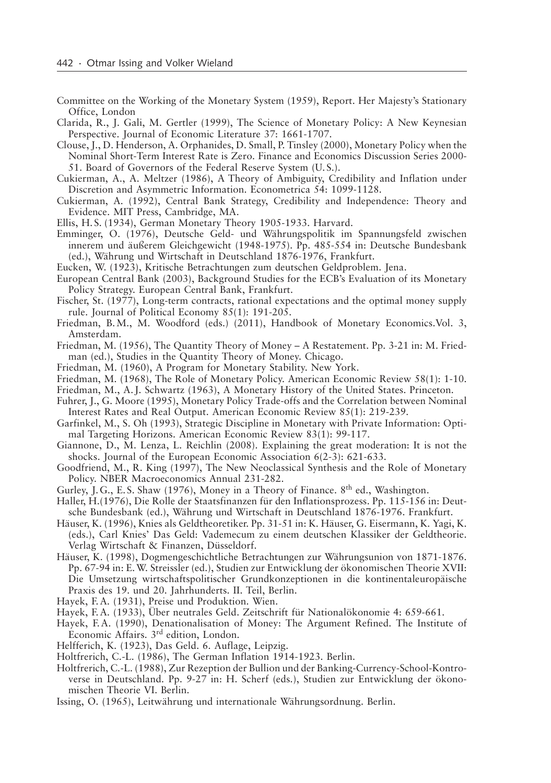- Committee on the Working of the Monetary System (1959), Report. Her Majesty's Stationary Office, London
- Clarida, R., J. Gali, M. Gertler (1999), The Science of Monetary Policy: A New Keynesian Perspective. Journal of Economic Literature 37: 1661-1707.
- Clouse, J., D. Henderson, A. Orphanides, D. Small, P. Tinsley (2000), Monetary Policy when the Nominal Short-Term Interest Rate is Zero. Finance and Economics Discussion Series 2000- 51. Board of Governors of the Federal Reserve System (U. S.).
- Cukierman, A., A. Meltzer (1986), A Theory of Ambiguity, Credibility and Inflation under Discretion and Asymmetric Information. Econometrica 54: 1099-1128.
- Cukierman, A. (1992), Central Bank Strategy, Credibility and Independence: Theory and Evidence. MIT Press, Cambridge, MA.
- Ellis, H. S. (1934), German Monetary Theory 1905-1933. Harvard.
- Emminger, O. (1976), Deutsche Geld- und Währungspolitik im Spannungsfeld zwischen innerem und äußerem Gleichgewicht (1948-1975). Pp. 485-554 in: Deutsche Bundesbank (ed.), Währung und Wirtschaft in Deutschland 1876-1976, Frankfurt.
- Eucken, W. (1923), Kritische Betrachtungen zum deutschen Geldproblem. Jena.
- European Central Bank (2003), Background Studies for the ECB's Evaluation of its Monetary Policy Strategy. European Central Bank, Frankfurt.
- Fischer, St. (1977), Long-term contracts, rational expectations and the optimal money supply rule. Journal of Political Economy 85(1): 191-205.
- Friedman, B.M., M. Woodford (eds.) (2011), Handbook of Monetary Economics.Vol. 3, Amsterdam.
- Friedman, M. (1956), The Quantity Theory of Money A Restatement. Pp. 3-21 in: M. Friedman (ed.), Studies in the Quantity Theory of Money. Chicago.
- Friedman, M. (1960), A Program for Monetary Stability. New York.
- Friedman, M. (1968), The Role of Monetary Policy. American Economic Review 58(1): 1-10.
- Friedman, M., A. J. Schwartz (1963), A Monetary History of the United States. Princeton.
- Fuhrer, J., G. Moore (1995), Monetary Policy Trade-offs and the Correlation between Nominal Interest Rates and Real Output. American Economic Review 85(1): 219-239.
- Garfinkel, M., S. Oh (1993), Strategic Discipline in Monetary with Private Information: Optimal Targeting Horizons. American Economic Review 83(1): 99-117.
- Giannone, D., M. Lenza, L. Reichlin (2008). Explaining the great moderation: It is not the shocks. Journal of the European Economic Association 6(2-3): 621-633.
- Goodfriend, M., R. King (1997), The New Neoclassical Synthesis and the Role of Monetary Policy. NBER Macroeconomics Annual 231-282.
- Gurley, J.G., E.S. Shaw (1976), Money in a Theory of Finance. 8<sup>th</sup> ed., Washington.
- Haller, H.(1976), Die Rolle der Staatsfinanzen für den Inflationsprozess. Pp. 115-156 in: Deutsche Bundesbank (ed.), Währung und Wirtschaft in Deutschland 1876-1976. Frankfurt.
- Häuser, K. (1996), Knies als Geldtheoretiker. Pp. 31-51 in: K. Häuser, G. Eisermann, K. Yagi, K. (eds.), Carl Knies' Das Geld: Vademecum zu einem deutschen Klassiker der Geldtheorie. Verlag Wirtschaft & Finanzen, Düsseldorf.
- Häuser, K. (1998), Dogmengeschichtliche Betrachtungen zur Währungsunion von 1871-1876. Pp. 67-94 in: E.W. Streissler (ed.), Studien zur Entwicklung der ökonomischen Theorie XVII: Die Umsetzung wirtschaftspolitischer Grundkonzeptionen in die kontinentaleuropäische Praxis des 19. und 20. Jahrhunderts. II. Teil, Berlin.
- Hayek, F. A. (1931), Preise und Produktion. Wien.
- Hayek, F. A. (1933), Über neutrales Geld. Zeitschrift für Nationalökonomie 4: 659-661.
- Hayek, F. A. (1990), Denationalisation of Money: The Argument Refined. The Institute of Economic Affairs. 3rd edition, London.
- Helfferich, K. (1923), Das Geld. 6. Auflage, Leipzig.
- Holtfrerich, C.-L. (1986), The German Inflation 1914-1923. Berlin.
- Holtfrerich, C.-L. (1988), Zur Rezeption der Bullion und der Banking-Currency-School-Kontroverse in Deutschland. Pp. 9-27 in: H. Scherf (eds.), Studien zur Entwicklung der ökonomischen Theorie VI. Berlin.
- Issing, O. (1965), Leitwährung und internationale Währungsordnung. Berlin.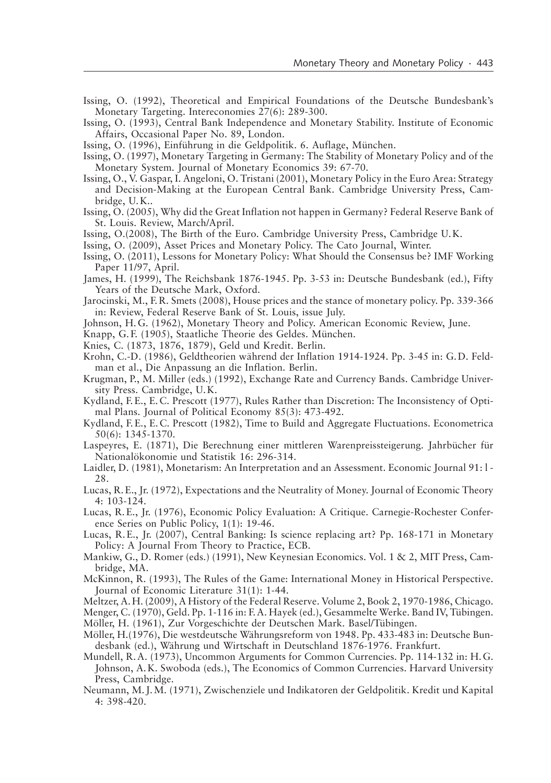- Issing, O. (1992), Theoretical and Empirical Foundations of the Deutsche Bundesbank's Monetary Targeting. Intereconomies 27(6): 289-300.
- Issing, O. (1993), Central Bank Independence and Monetary Stability. Institute of Economic Affairs, Occasional Paper No. 89, London.
- Issing, O. (1996), Einführung in die Geldpolitik. 6. Auflage, München.
- Issing, O. (1997), Monetary Targeting in Germany: The Stability of Monetary Policy and of the Monetary System. Journal of Monetary Economics 39: 67-70.
- Issing, O., V. Gaspar, I. Angeloni, O. Tristani (2001), Monetary Policy in the Euro Area: Strategy and Decision-Making at the European Central Bank. Cambridge University Press, Cambridge, U. K..
- Issing, O. (2005), Why did the Great Inflation not happen in Germany? Federal Reserve Bank of St. Louis. Review, March/April.
- Issing, O.(2008), The Birth of the Euro. Cambridge University Press, Cambridge U. K.
- Issing, O. (2009), Asset Prices and Monetary Policy. The Cato Journal, Winter.
- Issing, O. (2011), Lessons for Monetary Policy: What Should the Consensus be? IMF Working Paper 11/97, April.
- James, H. (1999), The Reichsbank 1876-1945. Pp. 3-53 in: Deutsche Bundesbank (ed.), Fifty Years of the Deutsche Mark, Oxford.
- Jarocinski, M., F.R. Smets (2008), House prices and the stance of monetary policy. Pp. 339-366 in: Review, Federal Reserve Bank of St. Louis, issue July.
- Johnson, H. G. (1962), Monetary Theory and Policy. American Economic Review, June.
- Knapp, G.F. (1905), Staatliche Theorie des Geldes. München.
- Knies, C. (1873, 1876, 1879), Geld und Kredit. Berlin.
- Krohn, C.-D. (1986), Geldtheorien während der Inflation 1914-1924. Pp. 3-45 in: G.D. Feldman et al., Die Anpassung an die Inflation. Berlin.
- Krugman, P., M. Miller (eds.) (1992), Exchange Rate and Currency Bands. Cambridge University Press. Cambridge, U. K.
- Kydland, F.E., E.C. Prescott (1977), Rules Rather than Discretion: The Inconsistency of Optimal Plans. Journal of Political Economy 85(3): 473-492.
- Kydland, F. E., E. C. Prescott (1982), Time to Build and Aggregate Fluctuations. Econometrica 50(6): 1345-1370.
- Laspeyres, E. (1871), Die Berechnung einer mittleren Warenpreissteigerung. Jahrbücher für Nationalökonomie und Statistik 16: 296-314.
- Laidler, D. (1981), Monetarism: An Interpretation and an Assessment. Economic Journal 91: l 28.
- Lucas, R. E., Jr. (1972), Expectations and the Neutrality of Money. Journal of Economic Theory 4: 103-124.
- Lucas, R. E., Jr. (1976), Economic Policy Evaluation: A Critique. Carnegie-Rochester Conference Series on Public Policy, 1(1): 19-46.
- Lucas, R. E., Jr. (2007), Central Banking: Is science replacing art? Pp. 168-171 in Monetary Policy: A Journal From Theory to Practice, ECB.
- Mankiw, G., D. Romer (eds.) (1991), New Keynesian Economics. Vol. 1 & 2, MIT Press, Cambridge, MA.
- McKinnon, R. (1993), The Rules of the Game: International Money in Historical Perspective. Journal of Economic Literature 31(1): 1-44.
- Meltzer, A. H. (2009), A History of the Federal Reserve. Volume 2, Book 2, 1970-1986, Chicago.
- Menger, C. (1970), Geld. Pp. 1-116 in: F. A. Hayek (ed.), Gesammelte Werke. Band IV, Tübingen. Möller, H. (1961), Zur Vorgeschichte der Deutschen Mark. Basel/Tübingen.
- Möller, H.(1976), Die westdeutsche Währungsreform von 1948. Pp. 433-483 in: Deutsche Bundesbank (ed.), Währung und Wirtschaft in Deutschland 1876-1976. Frankfurt.
- Mundell, R. A. (1973), Uncommon Arguments for Common Currencies. Pp. 114-132 in: H.G. Johnson, A. K. Swoboda (eds.), The Economics of Common Currencies. Harvard University Press, Cambridge.
- Neumann, M. J.M. (1971), Zwischenziele und Indikatoren der Geldpolitik. Kredit und Kapital 4: 398-420.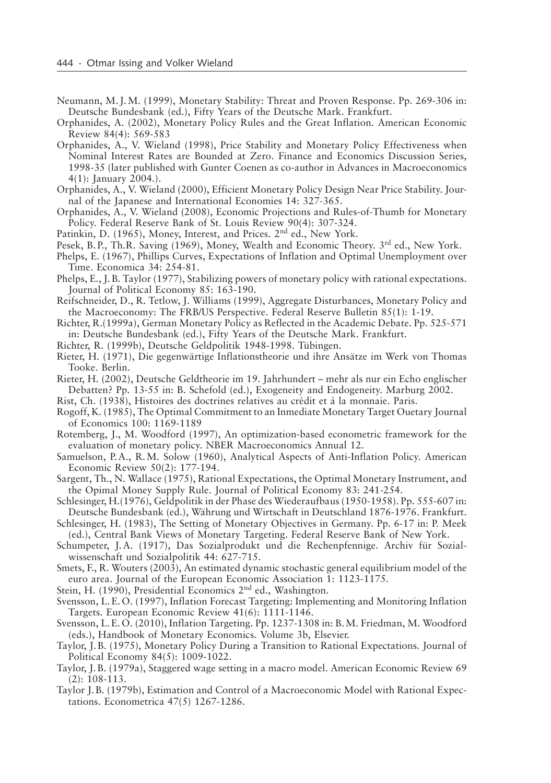- Neumann, M. J.M. (1999), Monetary Stability: Threat and Proven Response. Pp. 269-306 in: Deutsche Bundesbank (ed.), Fifty Years of the Deutsche Mark. Frankfurt.
- Orphanides, A. (2002), Monetary Policy Rules and the Great Inflation. American Economic Review 84(4): 569-583
- Orphanides, A., V. Wieland (1998), Price Stability and Monetary Policy Effectiveness when Nominal Interest Rates are Bounded at Zero. Finance and Economics Discussion Series, 1998-35 (later published with Gunter Coenen as co-author in Advances in Macroeconomics 4(1): January 2004.).
- Orphanides, A., V. Wieland (2000), Efficient Monetary Policy Design Near Price Stability. Journal of the Japanese and International Economies 14: 327-365.
- Orphanides, A., V. Wieland (2008), Economic Projections and Rules-of-Thumb for Monetary Policy. Federal Reserve Bank of St. Louis Review 90(4): 307-324.
- Patinkin, D. (1965), Money, Interest, and Prices. 2<sup>nd</sup> ed., New York.
- Pesek, B.P., Th.R. Saving (1969), Money, Wealth and Economic Theory. 3rd ed., New York.
- Phelps, E. (1967), Phillips Curves, Expectations of Inflation and Optimal Unemployment over Time. Economica 34: 254-81.
- Phelps, E., J. B. Taylor (1977), Stabilizing powers of monetary policy with rational expectations. Journal of Political Economy 85: 163-190.
- Reifschneider, D., R. Tetlow, J. Williams (1999), Aggregate Disturbances, Monetary Policy and the Macroeconomy: The FRB/US Perspective. Federal Reserve Bulletin 85(1): 1-19.
- Richter, R.(1999a), German Monetary Policy as Reflected in the Academic Debate. Pp. 525-571 in: Deutsche Bundesbank (ed.), Fifty Years of the Deutsche Mark. Frankfurt.
- Richter, R. (1999b), Deutsche Geldpolitik 1948-1998. Tübingen.
- Rieter, H. (1971), Die gegenwärtige Inflationstheorie und ihre Ansätze im Werk von Thomas Tooke. Berlin.
- Rieter, H. (2002), Deutsche Geldtheorie im 19. Jahrhundert mehr als nur ein Echo englischer Debatten? Pp. 13-55 in: B. Schefold (ed.), Exogeneity and Endogeneity. Marburg 2002.
- Rist, Ch. (1938), Histoires des doctrines relatives au crédit et à la monnaie. Paris.
- Rogoff, K. (1985), The Optimal Commitment to an Inmediate Monetary Target Ouetary Journal of Economics 100: 1169-1189
- Rotemberg, J., M. Woodford (1997), An optimization-based econometric framework for the evaluation of monetary policy. NBER Macroeconomics Annual 12.
- Samuelson, P. A., R.M. Solow (1960), Analytical Aspects of Anti-Inflation Policy. American Economic Review 50(2): 177-194.
- Sargent, Th., N. Wallace (1975), Rational Expectations, the Optimal Monetary Instrument, and the Opimal Money Supply Rule. Journal of Political Economy 83: 241-254.
- Schlesinger, H.(1976), Geldpolitik in der Phase des Wiederaufbaus (1950-1958). Pp. 555-607 in: Deutsche Bundesbank (ed.), Währung und Wirtschaft in Deutschland 1876-1976. Frankfurt.
- Schlesinger, H. (1983), The Setting of Monetary Objectives in Germany. Pp. 6-17 in: P. Meek (ed.), Central Bank Views of Monetary Targeting. Federal Reserve Bank of New York.
- Schumpeter, J.A. (1917), Das Sozialprodukt und die Rechenpfennige. Archiv für Sozialwissenschaft und Sozialpolitik 44: 627-715.
- Smets, F., R. Wouters (2003), An estimated dynamic stochastic general equilibrium model of the euro area. Journal of the European Economic Association 1: 1123-1175.
- Stein, H. (1990), Presidential Economics 2nd ed., Washington.
- Svensson, L. E.O. (1997), Inflation Forecast Targeting: Implementing and Monitoring Inflation Targets. European Economic Review 41(6): 1111-1146.
- Svensson, L. E.O. (2010), Inflation Targeting. Pp. 1237-1308 in: B.M. Friedman, M. Woodford (eds.), Handbook of Monetary Economics. Volume 3b, Elsevier.
- Taylor, J. B. (1975), Monetary Policy During a Transition to Rational Expectations. Journal of Political Economy 84(5): 1009-1022.
- Taylor, J. B. (1979a), Staggered wage setting in a macro model. American Economic Review 69 (2): 108-113.
- Taylor J. B. (1979b), Estimation and Control of a Macroeconomic Model with Rational Expectations. Econometrica 47(5) 1267-1286.